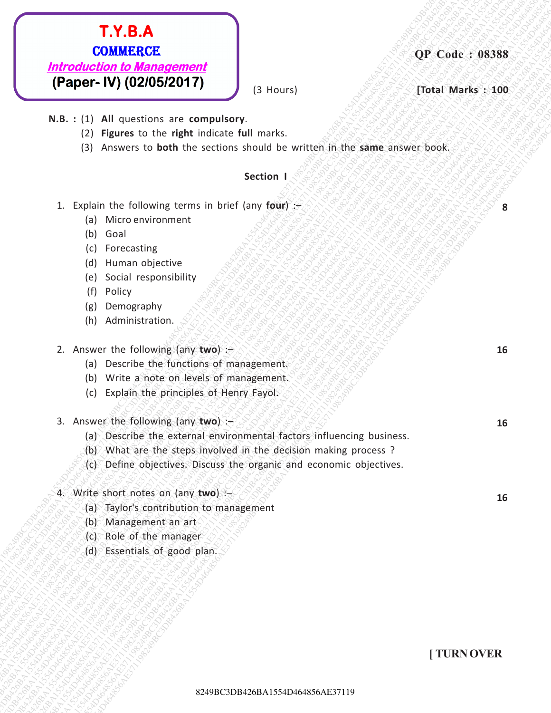# **EXALE AT ALSO AESAES**<br> **REPORTED TO MARGINSED CONSULTS (SURVEY)**<br> **REPORTED TO MARGINSED CONSULTS (SURVEY)**<br> **REPORTED TO ALSO ACTION ACTION** (SURVEY)<br>
(2) Regions to the attack that includes that matrix<br>
(SURVEY) accoun **EXTR.A.**<br> **EXECUTE: NOTE CONSERVED (PASSES)**<br> **EXECUTE: NU (02/05/05/2017)**<br>
N.B.:: (12) All questions are computed responses and the matrix of the second state of the second state of the second state of the second state **EX.B.A.**<br> **COMBERC**<br> **EXECUTER-BAT454265 SECONATION**<br> **REG. 111 AI avestical content of the content of the starting band and the starting the starting the starting the starting the starting the starting the starting the EXAGAC**<br> **EXAMPLE CONSTRUCTS CONSTRUCTS**<br> **EXAMPLE CONSTRUCTS**<br> **EXAMPLE CONSTRUCTS**<br> **EXAMPLE CONSTRUCTS**<br> **EXAMPLE CONSTRUCTS**<br> **EXAMPLE CONSTRUCTS**<br> **EXAMPLE CONSTRUCTS**<br> **EXAMPLE CONSTRUCTS**<br> **EXAMPLE CONSTRUCTS**<br> **E** 8249BC3DB426BA1554D464856AE371198249BC3DB426BA1554D464856AE371198249BC3DB426BA1554D464856AE371198249BC3DB426BA1554D464856AE371198249BC3DB426BA1554D464856AE371198249BC3DB426BA1554D464856AE37119 **EX.B.A.**<br> **CALIFORATION (CASSES)**<br> **EXERCITE ALT AND (CASSES)**<br> **RALL (1) ARE ONTER CONSULS DATA**<br> **RALL (1) ARE ONTER THE CONSULS DATA**<br>
(2) HOWEVER TO THE CONSULS DATABALT CONSULS DATABALT CONSULS DATABALT CONSULS DATA **EXABAL COMMERCE TREASAE371198244**<br> **EXAMPLE COMMERCE AT ASSOCIATE**<br> **EXAMPLE COMMERCE AT ASSOCIATE COMMERCE AT ASSOCIATE COMMERCE AT ASSOCIATE AT ASSOCIATE COMMERCE AT ASSOCIATE CONSULTATION (SECTION AT ASSOCIATE AT ASSO EXAMBLE 3244**<br> **EXAMPLE COMMERCAT SUBARF 2013**<br> **EXAMPLE COMMERCAT SUBARF 2013**<br> **EXAMPLE COMMERCATE ACTION COMMERCATE COMMERCATE SUBARF 2013**<br>
BALS: 113 AB answers to be absorber subset of the survey of the same answer **EXAMBLE 3244**<br> **EXAMPLE COMMERCAT SUBARF 2013**<br> **EXAMPLE COMMERCAT SUBARF 2013**<br> **EXAMPLE COMMERCATE ACTION COMMERCATE COMMERCATE SUBARF 2013**<br>
BALS: 113 AB answers to be absorber subset of the survey of the same answer **EXAMBLE 3244**<br> **EXAMPLE COMMERCAT SUBARF 2013**<br> **EXAMPLE COMMERCAT SUBARF 2013**<br> **EXAMPLE COMMERCATE ACTION COMMERCATE COMMERCATE SUBARF 2013**<br>
BALS: 113 AB answers to be absorber subset of the survey of the same answer **EXAMBLE 3244**<br> **EXAMPLE COMMERCAT SUBARF 2013**<br> **EXAMPLE COMMERCAT SUBARF 2013**<br> **EXAMPLE COMMERCATE ACTION COMMERCATE COMMERCATE SUBARF 2013**<br>
BALS: 113 AB answers to be absorber subset of the survey of the same answer **EXAMBLE 3244**<br> **EXAMPLE COMMERCAT SUBARF 2013**<br> **EXAMPLE COMMERCAT SUBARF 2013**<br> **EXAMPLE COMMERCATE ACTION COMMERCATE COMMERCATE SUBARF 2013**<br>
BALS: 113 AB answers to be absorber subset of the survey of the same answer **EX.B.A<br>
BA1554D6486**<br> **(Plagment DV) (02013120171)**<br> **N.B.:** 111 All specific by the prime transformation are computed by the prime transformation of the prime transformation<br>
12. Cadiati Hat Editorius are computed by th **EXERACE: EXERACE COMMERCE:**<br> **EXERCISADE ACADES ACADES**<br> **EXERCISATION**<br> **W.B.:** (2) All measures are nown the second section of the same a velocity section (2)<br>
(2) All measures to best the section should be written i **EXECT TO COMBERCE**<br> **EXECUTE AREA COMBERCAES**<br> **EXECUTE AREA CONSUMERED**<br> **EXECUTE AREA CONSUMED ACTS**<br> **EXECUTE AREA CONSUMERED ACTS**<br> **EXECUTE AREA CONSUMERED ACTS**<br> **EXECUTE AREA CONSUMERED ACTS**<br> **EXECUTE ACTS**<br> **EXE EXECA COMMERCE**<br> **SINCHOLOGION BANGATS**<br> **EXECUTION BANGATS**<br> **EXECUTION BATTIC SURFACE CONTINUES**<br> **EXECUTION BATTIC SURFACE CONTINUES**<br> **EXECUTION BATTIC SURFACE CONTINUES**<br> **EXECUTION**<br> **EXECUTION** BALF CONTINUES<br> **EX EXABA**<br> **EXAMPLE COMMERCE**<br> **EXAMPLE COMMERCE COMMERCE COMMERCE COMMERCE COMMERCE COMMERCE COMMERCE COMMERCE COMMERCE COMMERCE COMMERCE COMMERCE COMMERCE COMMERCE COMMERCE COMMERCE COMMERCE COMMERCE COMMERCE COMMERCE COMM EXT.B.A.**<br> **EXECUTE DEVICE DEVICE DESCRIP (1998)**<br> **IF ARE ALCONSTRUCTS (2014)**<br> **IF ALCONSTRUCTS**<br> **IF ALCONSTRUCTS**<br>
(2) **PROPER to the right included full matrix.**<br>
(2) **PROPER to the right included full matrix.**<br> **IF EXABLA COMMERCE**<br>
IF CHEV (PEARPET - **UV)** (224957281719)<br>
N.B. : (1) All questions are compulsory.<br>
(2) Figures to the right visitiant tell matrix.<br>
(2) Figures to the right visitiant tell matrix.<br>
(3) Moreovers to both **EXABLA COMMERCE**<br> **EXAMPLE COMMERCE ALSO BANS 24**<br> **EXAMPLE COMMERCE ALSO BANS 24**<br> **EXAMPLE COMMERCE ALSO BANS 24**<br> **EXAMPLE COMMERCE ALSO BANS 24**<br> **EXAMPLE CONSTANT (3)**<br> **EXAMPLE CONSTANT COMMERCE ACTIVE CONSTANT (3)**

**(3 Hours)** *see See Total Marks* **: 100** 

**8**

**16**

**16**

**16**

- **N.B. :** (1) **All** questions are **compulsory**.
	- (2) **Figures** to the **right** indicate **full** marks.
	- (3) Answers to **both** the sections should be written in the **same** answer book.

#### **Section I**

- 1. Explain the following terms in brief (any **four**) :–
	- (a) Micro environment
	- (b) Goal
	- (c) Forecasting
	- (d) Human objective
	- (e) Social responsibility
	- (f) Policy
	- (g) Demography
	- (h) Administration.
- 2. Answer the following (any **two**) :–
	- (a) Describe the functions of management.
	- (b) Write a note on levels of management.
	- (c) Explain the principles of Henry Fayol.
- 3. Answer the following (any **two**) :–
	- (a) Describe the external environmental factors influencing business.
	- (b) What are the steps involved in the decision making process ?
	- (c) Define objectives. Discuss the organic and economic objectives.

#### 4. Write short notes on (any **two**) :–

- (a) Taylor's contribution to management
- (b) Management an art
- (c) Role of the manager
- (d) Essentials of good plan.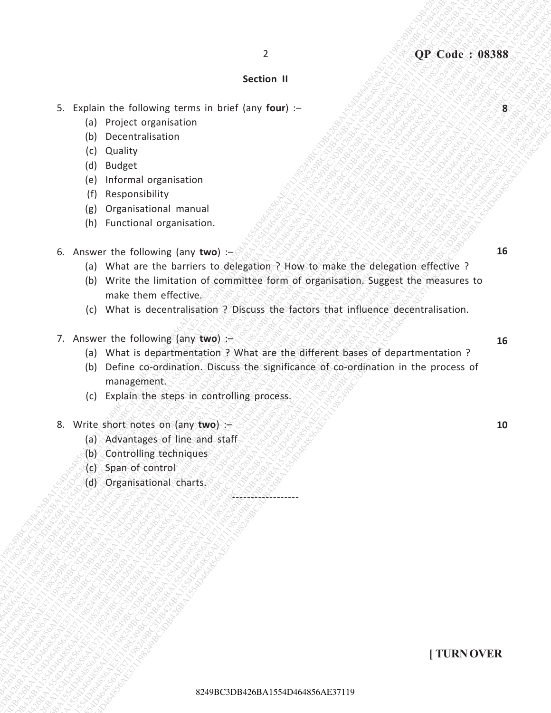#### **Section II**

2

- 5. Explain the following terms in brief (any **four**) :–
	- (a) Project organisation
	- (b) Decentralisation
	- (c) Quality
	- (d) Budget
	- (e) Informal organisation
	- (f) Responsibility
	- (g) Organisational manual
	- (h) Functional organisation.
- 6. Answer the following (any **two**) :–
	- (a) What are the barriers to delegation ? How to make the delegation effective ?
- 2<br>
8249 Section 11<br>
82449 Section 11<br>
14 Pointer urganisation<br>
16 Decembrialisto<br>
16 Decembrialisto<br>
16 Decembrialisto<br>
16 Decembrialisto<br>
16 Decembrialisto<br>
16 Decembrialisto<br>
18 Decembrialisto<br>
18 Decembrialisto<br>
16 Dec 8<br>
8249BA16 The Enlowing terms in brief (any four) -<br>
(a) Projection in the Case of the Case of the Case of the Case of the Case of the Case of the Case of the Case of the Case of the Case of the Case of the Case of the 824<br>
82410 Martin 11<br>
824 Boston Hart (and Young Constrained Internation Internation International International International International International International International International International Internatio 8249<br>
82441 BC3D4648 Experimental Constrained Constrained Constrained Constrained Constrained Constrained Constrained Constrained Constrained Constrained Constrained Constrained Constrained Constrained Constrained Constra 8249<br>
8249<br>
8249<br>
8249<br>
8249<br>
8249<br>
8249<br>
8249<br>
8249<br>
8249<br>
8249<br>
8249<br>
8249<br>
8249<br>
8249<br>
8249<br>
8249<br>
8249<br>
8249 Conseil and the minimized property of the support of the support of the minimized of the minimized property<br> 8249<br>
82496<br>
82496<br>
82496<br>
82496 BC3DB426<br>
82496 BC3DB426<br>
82496 BC3DB426<br>
82496 BC3DB4268<br>
82496 BC3DB426BA154D46<br>
82496 BC3DB426BA154D46<br>
82496 BC3DB426BA154D46<br>
82496 BC3DB426BA154D4 BC3D426BA1554D426BA1554D426BA1554D4<br> 3<br>
8249 Of Cunicipal Street of the following series in sind (see form four) –<br>
(b) Protocol Of the following terms<br>
(c) Bandalism<br>
(c) Responsible to the following lengths and<br>
(g) Reponsible the control of the following 2<br>
82 Codes the following terms in birth large four)  $\frac{1}{2}$ <br>
(b) Properties are consistents<br>
(c) Properties accounts of<br>
(c) Declares<br>
(b) Declares<br>
(b) Declares at the material of declares accounts of the consistent o 2<br>
82 Codes the following terms in birth large four)  $\frac{1}{2}$ <br>
(b) Properties are consistents<br>
(c) Properties accounts of<br>
(c) Declares<br>
(b) Declares<br>
(b) Declares at the material of declares accounts of the consistent o 2<br>
82 Codes the following terms in birth large four)  $\frac{1}{2}$ <br>
(b) Properties are consistents<br>
(c) Properties accounts of<br>
(c) Declares<br>
(b) Declares<br>
(b) Declares at the material of declares accounts of the consistent o 2<br>
82 Codes the following terms in birth large four)  $\frac{1}{2}$ <br>
(b) Properties are consistents<br>
(c) Properties accounts of<br>
(c) Declares<br>
(b) Declares<br>
(b) Declares at the material of declares accounts of the consistent o 2<br>
82 Codes the following terms in birth large four)  $\frac{1}{2}$ <br>
(b) Properties are consistents<br>
(c) Properties accounts of<br>
(c) Declares<br>
(b) Declares<br>
(b) Declares at the material of declares accounts of the consistent o 2<br>
8241041<br>
82441041 Point of December and Convention of the Convention of the Convention of the Convention of the Convention of the Convention of the Convention of the Convention of the Convention of the Convention of th 9<br>
824494 BC3D464 Conservation<br>
19 7 Procedure Conservation<br>
19 7 Procedure Conservation<br>
19 7 Procedure Conservation<br>
19 1 Conservation and the conservation of the conservation of the state of the state of the state of th 2<br>
824 Eugenin the tellswing terms in trial lawy fourty -<br>
(a) Polentic distance<br>
(b) Decemberation<br>
(d) Decemberation<br>
(d) Decemberation<br>
(g) Decemberation<br>
(g) Decemberation<br>
(g) Decemberation<br>
(g) Organisation<br>
(g) Wri 9<br>
8249 CHA Form of Balance Chan is a series to be the large four of  $\mu$  Decision (a) Decision (a) Decision (a) Decision (a) Decision (a) Decision (b) Changed a Captar Chansel (c) Interpret of Decision (a) Decision (b) C 2<br>
8249 BC3D44 BA164 Constrainers in brief (any four) -<br>
(a) Drecentral Bandarian<br>
(b) Drecentral Bandarian<br>
(c) Drecentral Bandarian<br>
(e) Drecentral Bandarian<br>
(b) Drecentral Bandarian<br>
(b) Drecentral Bandarian<br>
(a) Drec 2<br>
8249 BC426 AE3886<br>
5. Caplain the following terms in brief Lawy found -<br>
(a) Decentrations contact a manual<br>
(b) Decentrations are contact a manual<br>
(b) Decentrations are contact a manual<br>
(b) Sustainable to provide th 2<br>
824 Section II<br>
15. English Uniter International Terms in brief Leny four) –<br>
(a) Departed Management (a)<br>
(d) Graphite the constrained approximation<br>
(b) Sectional Departed Management (a)<br>
(b) Sectional Departed Manag 824<br>
82446 BA164 Coloring terms in brief (any four) -<br>
(b) Your Correct Deprivation<br>
(d) Baging C3DB434<br>
(c) Tournal organisation<br>
(d) Baging terms<br>
(d) Organisation<br>
(b) Organisation<br>
(b) Organisation<br>
(b) Organisation<br>
( (b) Write the limitation of committee form of organisation. Suggest the measures to make them effective.
	- (c) What is decentralisation ? Discuss the factors that influence decentralisation.
	- 7. Answer the following (any **two**) :–
		- (a) What is departmentation ? What are the different bases of departmentation ?
		- (b) Define co-ordination. Discuss the significance of co-ordination in the process of management.

-<u>01918 -</u>

- (c) Explain the steps in controlling process.
- 8. Write short notes on (any **two**) :–
	- (a) Advantages of line and staff
	- (b) Controlling techniques
	- (c) Span of control
	- (d) Organisational charts.

**10**

#### **[ TURN OVER**

**8**

**16**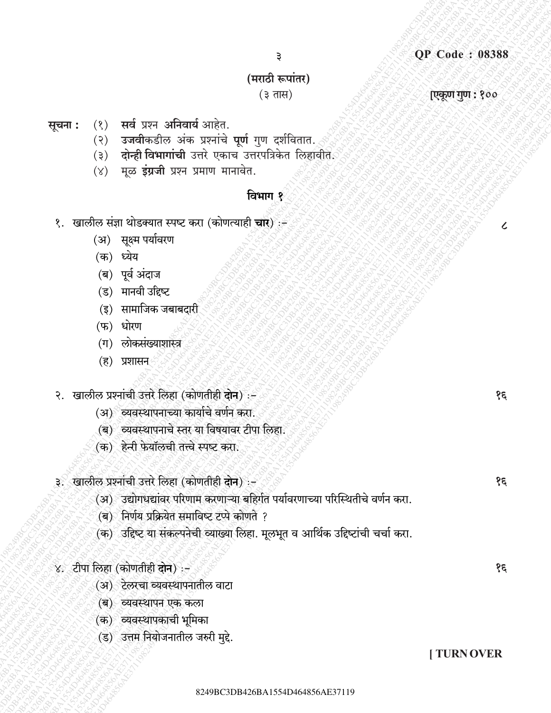#### (मराठी रूपांतर)

Э

 $(3 \pi H)$ 

एकूण गुण : १००

 $\boldsymbol{\mathcal{C}}$ 

१६

१६

१६

#### (१) सर्व प्रश्न अनिवार्य आहेत. सूचना :

- (२) उजवीकडील अंक प्रश्नांचे पूर्ण गुण दर्शवितात.
- (३) दोन्ही विभागांची उत्तरे एकाच<sup>ं</sup>उत्तरपत्रिकेत लिहावीते.
- $(y)$  मूळ इंग्रजी प्रश्न प्रमाण मानावेत.

## विभाग १

- १. खालील संज्ञा थोडक्यात स्पष्ट करा (कोणत्याही चारे) :÷
	- (अ) सूक्ष्म पर्यावरण
	- (क) ध्येय
	- (ब) पूर्व अंदाज
	- (ड) मानवी उद्दिष्ट
	- (इ) सामाजिक जबाबदारी
	- (फ) धोरण
	- (ग) लोकसंख्याशास्त्र
	- (ह) प्रशासन
- २. खालील प्रश्नांची उत्तरे लिहा (कोणतीही दोन) :-
	- (अ) व्यवस्थापनाच्या कार्याचे वर्णन करा.
	- (ब) व्यवस्थापनाचे स्तर या विषयावर टीपा लिहा.
	- (क) हेन्री फेयॉलची तत्त्वे स्पष्ट करा.
- ३. खालील प्रश्नांची उत्तरे लिहा (कोणतीही दोन) :-
	- (अ) उद्योगधद्यांवर परिणाम करणाऱ्या बहिर्गत पर्यावरणाच्या परिस्थितीचे वर्णन करा.
	- (ब) निर्णय प्रक्रियेत समाविष्ट टप्पे कोणते ?
	- (क) उद्दिष्ट या संकल्पनेची व्याख्या लिहा. मूलभूत व आर्थिक उद्दिष्टांची चर्चा करा.
- ४. टीपा लिहा (कोणतीही दोन):-
	- (अ) टेलरचा व्यवस्थापनातील वाटा
	- (ब) व्यवस्थापन एक कला
	- (क) व्यवस्थापकाची भूमिका
	- (ड) उत्तम नियोजनातील जरुरी मुद्दे.

**TURN OVER**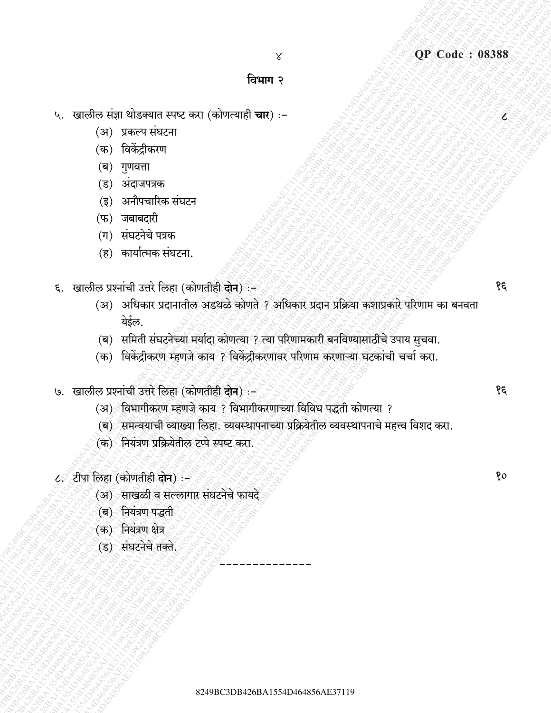$\mathcal{L}% _{G}(\theta)=\mathcal{L}_{G}(\theta)$ 

#### विभाग २

 $\times$ 

- ५. खालील संज्ञा थोडक्यात स्पष्ट करा (कोणत्याही **चार**) :-
	- (अ) प्रकल्प संघटना
	- (क) विकेंद्रीकरण
	- (ब) गुणवत्ता
	- (ड) अंदाजपत्रक
	- (इ) अनौपचारिक संघटन
	- $(\mathfrak{B})$  जबाबदारी
	- (ग) संघटनेचे पत्रक
	- (ह) कार्यात्मक संघटना.
- ६. खालील प्रश्नांची उत्तरे लिहा (कोणतीही दोन) ?
	- (अ) अधिकार प्रदानातील अडथळे कोणते ? अधिकार प्रदान प्रक्रिया कशाप्रकारे परिणाम का बनवता येईल.
	- (ब) समिती संघटनेच्या मर्यादा कोणत्या ? त्या परिणामकारी बनविण्यासाठीचे उपाय सुचवा.
	- (क) विकेंद्रीकरण म्हणजे काय ? विकेंद्रीकरणावर परिणाम करणाऱ्या घटकांची चर्चा करा.
- ७. खालील प्रश्नांची उत्तरे लिहा (कोणतीही दोन) :
	- (अ) विभागीकरण म्हणजे काय ? विभागीकरणाच्या विविध पद्धती कोणत्या ?
	- (ब) समन्वयाची व्याख्या लिहा. व्यवस्थापनाच्या प्रक्रियेतील व्यवस्थापनाचे महत्त्व विशद करा.
	- (क) नियंत्रण प्रक्रियेतील टप्पे स्पष्ट करा.
- ८. टीपा लिहा (कोणतीही दोन) :-
	- (अ) साखळी व सल्लागार संघटनेचे फायदे
	- (ब) नियंत्रण पद्धती
	- (क) नियंत्रण क्षेत्र
	- (ड) संघटनेचे तक्ते.

१६

१६

80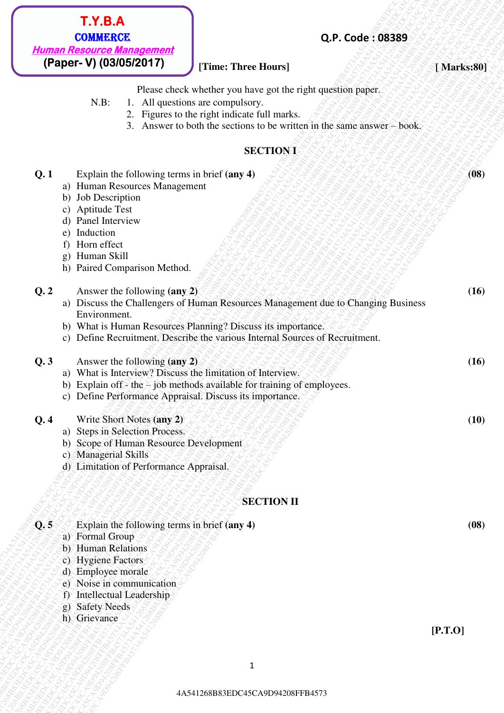#### **[Time: Three Hours]** *I. <b>SARE ANAGE ANAGE ANAGE AT A SERIES* **[Marks:80]**

- N.B: 1. All questions are compulsory.
	- 2. Figures to the right indicate full marks.
	- 3. Answer to both the sections to be written in the same answer book.

#### **SECTION I**

| <b>Human Resource Management</b><br>(Paper- V) (03/05/2017)<br>[Time: Three Hours]<br>[Marks:80]<br>Please check whether you have got the right question paper.<br>$N.B$ :<br>1. All questions are compulsory.<br>2. Figures to the right indicate full marks.<br>3. Answer to both the sections to be written in the same answer – book.<br><b>SECTIONI</b><br>Q.1<br>Explain the following terms in brief (any 4)<br>Human Resources Management<br>a)<br>Job Description<br>b)<br><b>Aptitude Test</b><br>c)<br>Panel Interview<br>d)<br>Induction<br>e)<br>Horn effect<br>f)<br>Human Skill<br>g)<br>h) Paired Comparison Method.<br>Q.2<br>Answer the following (any 2)<br>Discuss the Challengers of Human Resources Management due to Changing Business<br>a)<br>Environment.<br>b) What is Human Resources Planning? Discuss its importance.<br>c) Define Recruitment, Describe the various Internal Sources of Recruitment.<br>Answer the following (any 2)<br>Q.3<br>What is Interview? Discuss the limitation of Interview.<br>a)<br>b) Explain off - the $-$ job methods available for training of employees.<br>Define Performance Appraisal. Discuss its importance.<br>C)<br>Write Short Notes (any 2)<br>Q.4<br>Steps in Selection Process.<br>a)<br>Scope of Human Resource Development<br>b)<br><b>Managerial Skills</b><br>C)<br>d) Limitation of Performance Appraisal.<br><b>SECTION II</b><br>Q.5<br>Explain the following terms in brief (any 4)<br>a) Formal Group<br>b) Human Relations<br>c) Hygiene Factors<br>d) Employee morale<br>e) Noise in communication<br>Intellectual Leadership<br>F)<br>g) Safety Needs<br>h) Grievance<br>[P.T.0]<br>$\mathbf{1}$ | T.Y.B.A<br><b>COMMERCE</b> | Q.P. Code: 08389 |      |
|-----------------------------------------------------------------------------------------------------------------------------------------------------------------------------------------------------------------------------------------------------------------------------------------------------------------------------------------------------------------------------------------------------------------------------------------------------------------------------------------------------------------------------------------------------------------------------------------------------------------------------------------------------------------------------------------------------------------------------------------------------------------------------------------------------------------------------------------------------------------------------------------------------------------------------------------------------------------------------------------------------------------------------------------------------------------------------------------------------------------------------------------------------------------------------------------------------------------------------------------------------------------------------------------------------------------------------------------------------------------------------------------------------------------------------------------------------------------------------------------------------------------------------------------------------------------------------------------------------------------------------------------------------------------------------------------|----------------------------|------------------|------|
|                                                                                                                                                                                                                                                                                                                                                                                                                                                                                                                                                                                                                                                                                                                                                                                                                                                                                                                                                                                                                                                                                                                                                                                                                                                                                                                                                                                                                                                                                                                                                                                                                                                                                         |                            |                  |      |
|                                                                                                                                                                                                                                                                                                                                                                                                                                                                                                                                                                                                                                                                                                                                                                                                                                                                                                                                                                                                                                                                                                                                                                                                                                                                                                                                                                                                                                                                                                                                                                                                                                                                                         |                            |                  |      |
|                                                                                                                                                                                                                                                                                                                                                                                                                                                                                                                                                                                                                                                                                                                                                                                                                                                                                                                                                                                                                                                                                                                                                                                                                                                                                                                                                                                                                                                                                                                                                                                                                                                                                         |                            |                  |      |
|                                                                                                                                                                                                                                                                                                                                                                                                                                                                                                                                                                                                                                                                                                                                                                                                                                                                                                                                                                                                                                                                                                                                                                                                                                                                                                                                                                                                                                                                                                                                                                                                                                                                                         |                            |                  | (08) |
|                                                                                                                                                                                                                                                                                                                                                                                                                                                                                                                                                                                                                                                                                                                                                                                                                                                                                                                                                                                                                                                                                                                                                                                                                                                                                                                                                                                                                                                                                                                                                                                                                                                                                         |                            |                  | (16) |
|                                                                                                                                                                                                                                                                                                                                                                                                                                                                                                                                                                                                                                                                                                                                                                                                                                                                                                                                                                                                                                                                                                                                                                                                                                                                                                                                                                                                                                                                                                                                                                                                                                                                                         |                            |                  | (16) |
|                                                                                                                                                                                                                                                                                                                                                                                                                                                                                                                                                                                                                                                                                                                                                                                                                                                                                                                                                                                                                                                                                                                                                                                                                                                                                                                                                                                                                                                                                                                                                                                                                                                                                         |                            |                  | (10) |
|                                                                                                                                                                                                                                                                                                                                                                                                                                                                                                                                                                                                                                                                                                                                                                                                                                                                                                                                                                                                                                                                                                                                                                                                                                                                                                                                                                                                                                                                                                                                                                                                                                                                                         |                            |                  |      |
|                                                                                                                                                                                                                                                                                                                                                                                                                                                                                                                                                                                                                                                                                                                                                                                                                                                                                                                                                                                                                                                                                                                                                                                                                                                                                                                                                                                                                                                                                                                                                                                                                                                                                         |                            |                  | (08) |
|                                                                                                                                                                                                                                                                                                                                                                                                                                                                                                                                                                                                                                                                                                                                                                                                                                                                                                                                                                                                                                                                                                                                                                                                                                                                                                                                                                                                                                                                                                                                                                                                                                                                                         |                            |                  |      |
|                                                                                                                                                                                                                                                                                                                                                                                                                                                                                                                                                                                                                                                                                                                                                                                                                                                                                                                                                                                                                                                                                                                                                                                                                                                                                                                                                                                                                                                                                                                                                                                                                                                                                         |                            |                  |      |
|                                                                                                                                                                                                                                                                                                                                                                                                                                                                                                                                                                                                                                                                                                                                                                                                                                                                                                                                                                                                                                                                                                                                                                                                                                                                                                                                                                                                                                                                                                                                                                                                                                                                                         |                            |                  |      |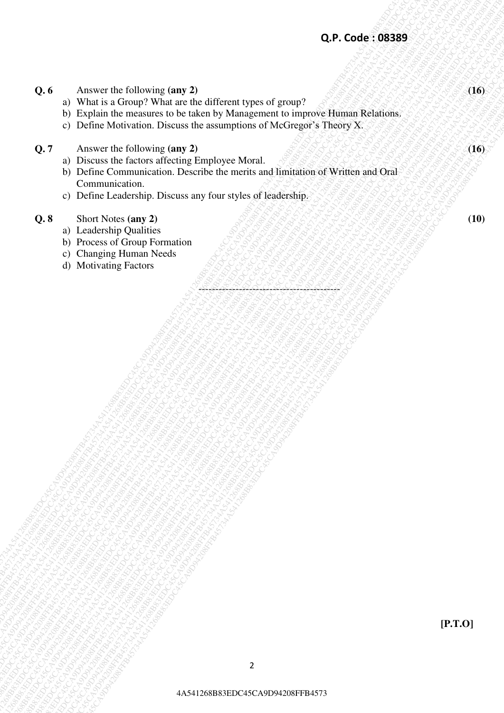|     | Q.P. Code: 08389                                                                                                                                                                                                                                      |                  |
|-----|-------------------------------------------------------------------------------------------------------------------------------------------------------------------------------------------------------------------------------------------------------|------------------|
|     |                                                                                                                                                                                                                                                       |                  |
| Q.6 | Answer the following (any 2)<br>a) What is a Group? What are the different types of group?<br>b) Explain the measures to be taken by Management to improve Human Relations.<br>c) Define Motivation. Discuss the assumptions of McGregor's Theory X.  | (16)             |
| Q.7 | Answer the following (any 2)<br>a) Discuss the factors affecting Employee Moral.<br>b) Define Communication. Describe the merits and limitation of Written and Oral<br>Communication.<br>c) Define Leadership. Discuss any four styles of leadership. | (16)             |
| Q.8 | Short Notes (any 2)<br>a) Leadership Qualities<br>b) Process of Group Formation<br><b>Changing Human Needs</b><br>$\mathcal{C}$ )<br>d) Motivating Factors                                                                                            | (10)             |
|     |                                                                                                                                                                                                                                                       |                  |
|     |                                                                                                                                                                                                                                                       |                  |
|     | <b>LOD ROOM ROOM</b><br>9798<br><b>PORTABLE</b><br><b>Poplar</b>                                                                                                                                                                                      |                  |
|     | <b>Land</b>                                                                                                                                                                                                                                           |                  |
|     |                                                                                                                                                                                                                                                       |                  |
|     |                                                                                                                                                                                                                                                       | $[\text{P.T.0}]$ |
|     | $\overline{2}$                                                                                                                                                                                                                                        |                  |
|     | 4A541268B83EDC45CA9D94208FFB4573                                                                                                                                                                                                                      |                  |
|     |                                                                                                                                                                                                                                                       |                  |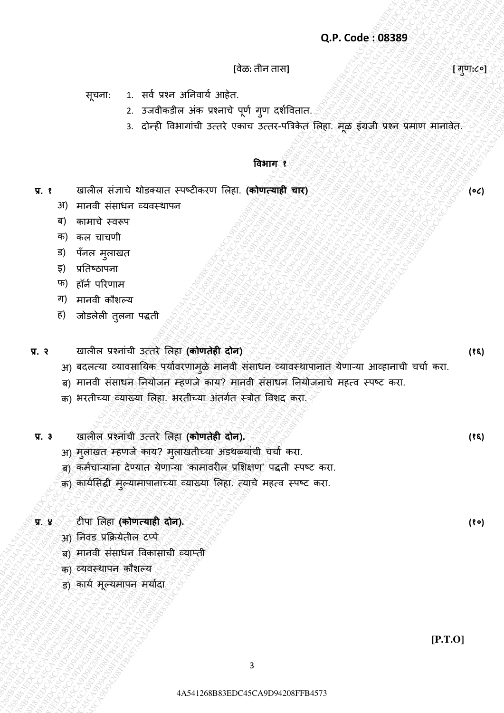#### **[**वेळ**:** तीन तास**] [** गणु **:**८०**]**

सूचना: 1. सर्व प्रश्न अनिवार्य आहेत.

- 2. उजवीकडील अंक प्रश्नाचे पूर्ण गुण दर्शवितात.
- 3. दोन्ही विभागांची उत्तरे एकाच उत्तर-पत्रिकेत लिहा. मूळ इंग्रजी प्रश्न प्रमाण मानावेत.

#### **विभाग १**

- **प्र. १** खालील संज्ञाचे थोडक्यात स्पष्टीकरण लिहा. **(कोणत्याही चार)** 
	- अ) मानवी संसाधन व्यवस्थापन
	- ब) कामाचे स्वरूप
	- क) कल चाचणी
	- ड) पॅनल मुलाखत
	- इ) प्रनतष्ठापना
	- फ) हॉर्न परिणाम
	- ग) मानवी कौशल्य
	- ह) जोडलेली तुलना पद्धती

#### **प्र. २** खालील प्रश्नाȲची उत्तरे ललहा **(कोणतेही दोन)**

- 4A541268B83EDC45CA9D94208FFB45734A541268B83EDC45CA9D94208FFB45734A541268B83EDC45CA9D94208FFB45734A541268B83EDC45CA9D94208FFB45734A541268B83EDC45CA9D94208FFB45734A541268B83EDC45CA9D94208FFB4573 Q.P. Code: 08389<br>  $\frac{1}{2}$ <br>  $\frac{1}{2}$   $\frac{1}{3}$   $\frac{1}{3}$   $\frac{1}{3}$   $\frac{1}{3}$   $\frac{1}{3}$   $\frac{1}{3}$   $\frac{1}{3}$   $\frac{1}{3}$   $\frac{1}{3}$   $\frac{1}{3}$   $\frac{1}{3}$   $\frac{1}{3}$   $\frac{1}{3}$   $\frac{1}{3}$   $\frac{1}{3}$   $\frac{1}{3}$   $\frac{1}{3}$   $\frac{1}{3}$   $\$ Q.P. Code: :08389<br>  $\frac{1}{2}$ <br>  $\frac{1}{2}$ <br>  $\frac{1}{2}$ <br>  $\frac{1}{2}$ <br>  $\frac{1}{2}$ <br>  $\frac{1}{2}$ <br>  $\frac{1}{2}$ <br>  $\frac{1}{2}$ <br>  $\frac{1}{2}$ <br>  $\frac{1}{2}$ <br>  $\frac{1}{2}$ <br>  $\frac{1}{2}$ <br>  $\frac{1}{2}$ <br>  $\frac{1}{2}$ <br>  $\frac{1}{2}$ <br>  $\frac{1}{2}$ <br>  $\frac{1}{2}$ <br>  $\frac{1}{2}$ <br>  $\frac{$ Q.P. Code: 08389<br>  $\frac{4\sqrt{2}}{2}$ <br>  $\frac{4\sqrt{2}}{2}$  and  $\frac{4\sqrt{2}}{2}$ <br>  $\frac{4\sqrt{2}}{2}$  and  $\frac{4\sqrt{2}}{2}$ <br>  $\frac{4\sqrt{2}}{2}$  and  $\frac{4\sqrt{2}}{2}$ <br>  $\frac{4\sqrt{2}}{2}$  and  $\frac{4\sqrt{2}}{2}$ <br>  $\frac{4\sqrt{2}}{2}$  and  $\frac{4\sqrt{2}}{2}$ <br>  $\frac{4\sqrt{2}}{2$ Q.P. Code: 08389<br>  ${284.43-433489}$ <br>  ${20.45-433489}$ <br>  ${20.45-433489}$ <br>  ${20.45-433489}$ <br>  ${20.45-433489}$ <br>  ${20.45-433489}$ <br>  ${20.45-433489}$ <br>  ${20.45-433489}$ <br>  ${20.45-433489}$ <br>  ${20.45-433489}$ <br>  ${20.45-433489}$ <br>  ${20$ Q.P. Code: 08889<br>  $\frac{1}{2}$  code:  $\frac{1}{2}$  code:  $\frac{1}{2}$  code:  $\frac{1}{2}$  code:  $\frac{1}{2}$  code:  $\frac{1}{2}$  code:  $\frac{1}{2}$  code:  $\frac{1}{2}$  code:  $\frac{1}{2}$  code:  $\frac{1}{2}$  code:  $\frac{1}{2}$  code:  $\frac{1}{2}$  code:  $\frac{1}{2}$  c 42.  $Q,P$  Code: 198389<br>
42.  $\frac{1}{2}$   $\frac{1}{2}$   $\frac{1}{2}$   $\frac{1}{2}$   $\frac{1}{2}$   $\frac{1}{2}$   $\frac{1}{2}$   $\frac{1}{2}$   $\frac{1}{2}$   $\frac{1}{2}$   $\frac{1}{2}$   $\frac{1}{2}$   $\frac{1}{2}$   $\frac{1}{2}$   $\frac{1}{2}$   $\frac{1}{2}$   $\frac{1}{2}$   $\frac{1}{2}$   $\frac{1}{2}$   $\frac$ Q.P. Code : 03389<br>  $\frac{1}{2}$ <br>  $\frac{1}{2}$ <br>  $\frac{1}{2}$ <br>  $\frac{1}{2}$ <br>  $\frac{1}{2}$ <br>  $\frac{1}{2}$ <br>  $\frac{1}{2}$ <br>  $\frac{1}{2}$ <br>  $\frac{1}{2}$ <br>  $\frac{1}{2}$ <br>  $\frac{1}{2}$ <br>  $\frac{1}{2}$ <br>  $\frac{1}{2}$ <br>  $\frac{1}{2}$ <br>  $\frac{1}{2}$ <br>  $\frac{1}{2}$ <br>  $\frac{1}{2}$ <br>  $\frac{1}{2}$ <br>  $\frac{$ Q.P. Code : 05389<br>  $\frac{1}{2}$ <br>  $\frac{1}{2}$ <br>  $\frac{1}{2}$ <br>  $\frac{1}{2}$ <br>  $\frac{1}{2}$ <br>  $\frac{1}{2}$ <br>  $\frac{1}{2}$ <br>  $\frac{1}{2}$ <br>  $\frac{1}{2}$ <br>  $\frac{1}{2}$ <br>  $\frac{1}{2}$ <br>  $\frac{1}{2}$ <br>  $\frac{1}{2}$ <br>  $\frac{1}{2}$ <br>  $\frac{1}{2}$ <br>  $\frac{1}{2}$ <br>  $\frac{1}{2}$ <br>  $\frac{1}{2}$ <br>  $\frac{$ Q.P. Code : 05389<br>  $\frac{1}{2}$ <br>  $\frac{1}{2}$ <br>  $\frac{1}{2}$ <br>  $\frac{1}{2}$ <br>  $\frac{1}{2}$ <br>  $\frac{1}{2}$ <br>  $\frac{1}{2}$ <br>  $\frac{1}{2}$ <br>  $\frac{1}{2}$ <br>  $\frac{1}{2}$ <br>  $\frac{1}{2}$ <br>  $\frac{1}{2}$ <br>  $\frac{1}{2}$ <br>  $\frac{1}{2}$ <br>  $\frac{1}{2}$ <br>  $\frac{1}{2}$ <br>  $\frac{1}{2}$ <br>  $\frac{1}{2}$ <br>  $\frac{$ Q.P. Code : 05389<br>  $\frac{1}{2}$ <br>  $\frac{1}{2}$ <br>  $\frac{1}{2}$ <br>  $\frac{1}{2}$ <br>  $\frac{1}{2}$ <br>  $\frac{1}{2}$ <br>  $\frac{1}{2}$ <br>  $\frac{1}{2}$ <br>  $\frac{1}{2}$ <br>  $\frac{1}{2}$ <br>  $\frac{1}{2}$ <br>  $\frac{1}{2}$ <br>  $\frac{1}{2}$ <br>  $\frac{1}{2}$ <br>  $\frac{1}{2}$ <br>  $\frac{1}{2}$ <br>  $\frac{1}{2}$ <br>  $\frac{1}{2}$ <br>  $\frac{$  $Q.P. Code: 98389$ <br>  $Q.P. Code: 98389$ <br>  $Q.P. Code: 98389$ <br>  $Q.P. Code: 98389$ <br>  $Q.P. Code: 98389$ <br>  $Q.P. Code: 98389$ <br>  $Q.P. Code: 98389$ <br>  $Q.P. Code: 98389$ <br>  $Q.P. Code: 98389$ <br>  $Q.P. Code: 98389$ <br>  $Q.P. Code: 98389$ <br>  $Q.P. Code: 98389$ <br>  $Q.P. Code: 98389$ <br>  $Q.P. Code: 98389$ <br>  $Q.P. Code: 9838$ 4A541268B83EDC45CA9D94208FFB45734A541268B83EDC45CA9D94208FFB45734A541268B83EDC45CA9D94208FFB45734A541268B83EDC45CA9D94208FFB45734A541268B83EDC45CA9D94208FFB45734A541268B83EDC45CA9D94208FFB4573 4A541268B83EDC45CA9D94208FFB45734A541268B83EDC45CA9D94208FFB45734A541268B83EDC45CA9D94208FFB45734A541268B83EDC45CA9D94208FFB45734A541268B83EDC45CA9D94208FFB45734A541268B83EDC45CA9D94208FFB4573 Q.P. Code: 08383<br>  $\mu$ mas:  $\mu$  and two shown of the mass of the mass of the mass of the mass of the mass of the mass of the mass of the mass of the mass of the mass of the mass of the mass of the mass of the mass of the Q.P. Code: 08389<br>
Hack-thereby Cape is a straighted since and a straight and the straight and the straight and the straight and the straight and the straight and the straight and the straight and the straight and the stra Q.P. Code : 03389<br>
42471268 EDC45CA9 FFB41268 SUPER SUPER CONTENTS CARD (ASSESS)<br>
4248 CA9D94208 SUPER SUPER SUPER CONTENTS CARD (AND CHE CAPITAL CASE)<br>
4348 CA9D94208 SUPER CONTENTS CARD (AND CHE CAPITAL CASE)<br>
4348 CA9D Q. P. Code: 08389<br>  $\sqrt{2\pi}$  2. 274444268 ais which yiel and also demonstrate.<br>
2. 274444268 ais which yiel and active the space of the space of the space of the space of the space of the space of the space of the space o Q.P. Code : 083893<br>  $\frac{1}{2}$  code: 083893<br>  $\frac{1}{2}$  code: 083893<br>  $\frac{1}{2}$  code: 083893<br>  $\frac{1}{2}$  code: 08412641268 ais swarth and section and the section and the section and the section and the section and the sectio Q.P. Code: 083883<br>  $\frac{1}{2(240)}$ <br>  $\frac{1}{2}(349)$  and  $\frac{1}{2}(349)$  and  $\frac{1}{2}(349)$  and  $\frac{1}{2}(349)$  and  $\frac{1}{2}(349)$  and  $\frac{1}{2}(349)$  and  $\frac{1}{2}(349)$  and  $\frac{1}{2}(349)$  and  $\frac{1}{2}(349)$  and  $\frac{1}{2}(349)$  and  $\frac{1}{2$ अ) बदलत्या व्यावसायिक पर्यावरणामुळे मानवी संसाधन व्यावस्थापानात येणाऱ्या आव्हानाची चचो करा.
	- ब) मानवी संसाधन नियोजन म्हणजे कार्य? मानवी संसाधन नियोजनाचे महत्व स्पष्ट करा.
	- क) भरतीच्या व्याख्या लिहा. भरतीच्या अंतर्गत स्त्रोत विशद करा.
	- **प्र. ३** खालील प्रश्नाȲची उत्तरे ललहा **(कोणतेही दोन).**
		- अ) मुलाखत म्हणजे काय? मुलाखतीच्या अडथळ्याची चचो करा.
		- ब) कमेचाऱ्यांना देण्यात येणाऱ्या 'कामावरील प्रशिक्षण' पद्धती स्पष्ट करा.
		- क) कार्यसिद्धी मुल्यामापानाच्या व्याख्या लिहा. त्याचे महत्व स्पष्ट करा.

#### **प्र. ४** टीपा ललहा **(कोणत्याही दोन).**

- अ) ननवड प्रक्रिर्ेतील टप्पे
- ब) मानवी संसाधन विकासाची व्याप्ती
- क) व्यवस्थापन कौशल्य
- ड) कार्य मूल्यमापन मर्यादा

**(०८)** 

**(१६)** 

**(१६)** 

**(१०)**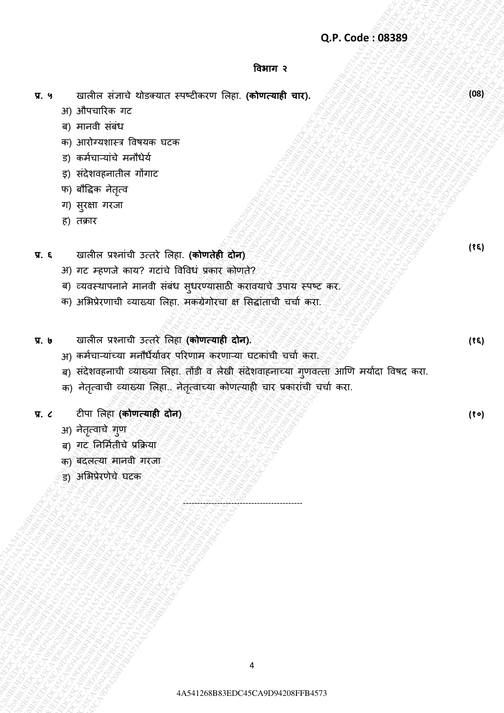#### **विभाग २**

- **प्र. ५** खालील संज्ञाचे थोडक्यात स्पष्टीकरण लिहा. **(कोणत्याही चार).** 
	- अ) औपचाररक गट
	- ब) मानवी सबध
	- क) आरोग्यशास्त्र विषयक घटक
	- ड) कर्मचाऱ्याचे मनौधेर्य
	- इ) सदेशवहनातील गोगाट
	- फ) बौद्धिक नेतृत्व
	- ग) सरुक्षा गरजा
	- ह) तक्रार
- **प्र. ६** खालील प्रश्नाȲची उत्तरे ललहा. **(कोणतेही दोन)**
	- अ) गट म्हणजे काय? गटाचे विविध प्रकार कोणते?
	- ब) व्यवस्थापनाने मानवी सबध सुधरण्यासाठी करावयाचे उपाय स्पष्ट कर.
	- क) अभिप्रेरणाची व्याख्या लिहा. मकग्रेगोरचा क्ष सिद्धाताची चचो करा.
- **प्र. ७** खालील प्रश्नाची उत्तरे ललहा **(कोणत्याही दोन).** 
	- अ) कर्मचाऱ्याच्या मनौधैर्यावर परिणाम करणाऱ्या घटकाची चचो करा.
- (a)  $P$  (a)  $P$  (a)  $P$  (a)  $P$  (a)  $P$  (a)  $P$  (a)  $P$  (a)  $P$  (a)  $P$  (a)  $P$  (a)  $P$  (a)  $P$  (a)  $P$  (a)  $P$  (a)  $P$  (a)  $P$  (a)  $P$  (a)  $P$  (a)  $P$  (b)  $P$  (b)  $P$  (b)  $P$  (c)  $P$  (c)  $P$  (c)  $P$  (c)  $P$  (c)  $P$  (c) Q.P. Code: 08389<br>
4 and in the stamp of the stamp of the stamp of the stamp of the stamp of the stamp of the stamp of the stamp of the stamp of the stamp of the stamp of the stamp of the stamp of the stamp of the stamp of Q.P. Code: 98389<br>
4.4 Starfa a fixed of the result are different first, reduces and control and the result and the result and the results of the results of the results of the results of the results of the results of the r Q.P. Code: 08389<br>
434)  $\frac{1}{2}$  and  $\frac{1}{2}$  and  $\frac{1}{2}$  and  $\frac{1}{2}$  and  $\frac{1}{2}$  and  $\frac{1}{2}$  and  $\frac{1}{2}$  and  $\frac{1}{2}$  and  $\frac{1}{2}$  and  $\frac{1}{2}$  and  $\frac{1}{2}$  and  $\frac{1}{2}$  and  $\frac{1}{2}$  and  $\frac{1}{2}$  and  $\$ Q.P. Code: 083899<br>  $\mathbf{X} \cdot \mathbf{q}$  unit-fit with the control control fits. (whereast with  $\mathbf{q}$ , and the control of the control of the control of the control of the control of the control of the control of the control Q. P. Sundari simulti alternati average content of the street and the street and the street and the street and the street and the street and the street and the street and the street and the street and the street and the s 4A541268B83EDC45CA9D94208FFB45734A541268B83EDC45CA9D94208FFB45734A541268B83EDC45CA9D94208FFB45734A541268B83EDC45CA9D94208FFB45734A541268B83EDC45CA9D94208FFB45734A541268B83EDC45CA9D94208FFB4573 4A541268B83EDC45CA9D94208FFB45734A541268B83EDC45CA9D94208FFB45734A541268B83EDC45CA9D94208FFB45734A541268B83EDC45CA9D94208FFB45734A541268B83EDC45CA9D94208FFB45734A541268B83EDC45CA9D94208FFB4573 Q.P. Code: 05389<br>  $Q = \sqrt{3}$  and a straight of the straight of the straight of the straight of the straight of the straight of the straight of the straight of the straight of the straight of the straight of the straight of Q.P. Code: 05389<br>  $Q = \sqrt{3}$  and a straight of the straight of the straight of the straight of the straight of the straight of the straight of the straight of the straight of the straight of the straight of the straight of Q.P. Code: 05389<br>  $Q = \sqrt{3}$  and a straight of the straight of the straight of the straight of the straight of the straight of the straight of the straight of the straight of the straight of the straight of the straight of  $Q,P$ ,  $C_0A_0e_1 + R_1P$ <br>  $Q, P$ ,  $Q, \frac{Q}{\sqrt{2}}$ <br>  $Q, \frac{Q}{\sqrt{2}}$  and  $\frac{Q}{\sqrt{2}}$ <br>  $Q, \frac{Q}{\sqrt{2}}$  and  $\frac{Q}{\sqrt{2}}$ <br>  $Q, \frac{Q}{\sqrt{2}}$  and  $\frac{Q}{\sqrt{2}}$ <br>  $Q, \frac{Q}{\sqrt{2}}$  and  $\frac{Q}{\sqrt{2}}$  and  $\frac{Q}{\sqrt{2}}$ <br>  $Q, \frac{Q}{\sqrt{2}}$  and  $\frac{Q}{$ 4A541268B83EDC45CA9D94208FFB45734A541268B83EDC45CA9D94208FFB45734A541268B83EDC45CA9D94208FFB45734A541268B83EDC45CA9D94208FFB45734A541268B83EDC45CA9D94208FFB45734A541268B83EDC45CA9D94208FFB4573 Q.P. Code: 58389<br>
4<br>
4 African Francisco Persons (continent Real (editors and C45<br>
23 African Ferman<br>
23 African Ferman<br>
23 African Ferman<br>
23 African Ferman<br>
24 African Ferman<br>
4 African Ferman<br>
4 African Ferman<br>
4 Afric Q.P. Code : 08383<br>  $\alpha$ , a continue there are<br>
30 particular for the state of the state of the state of the state of the state of the state of the state of the state of the state of the state of the state of the state of Q.P. Code: 08389<br>  $\mathbf{Q}$ .P. Code: 08389<br>  $\mathbf{P}$ , P. code: 16734<br>  $\mathbf{P}$ , P. code: 1674<br>  $\mathbf{P}$ , P. code: 1674<br>  $\mathbf{P}$ , P. code: 1674<br>  $\mathbf{P}$ , P. code: 1674<br>  $\mathbf{P}$ , P. code: 1674<br>  $\mathbf{P}$ , P. code: 1674<br>  $\$ Q.P. Code : 03389<br>
42.9 and min distribute one<br>
43.14 and minutive fibres are accounted in the contemplated and<br>
43.14 and minutive fibres are accounted and the contemplated and the set of the contemplated and the set of t Q.P.Code: 08389<br>
4. 9 dender a sero interaction conduction interaction interactions<br>
24 A34 and The C45 A544126 FFB4 6734<br>
24 A544126 FFB4 6734<br>
25 A544126 FFB4 6734<br>
25 A544126 FFB45744 A544 and end of the series of the s Q.P. Code: 083839<br>
The main of the main of the main of the main of the main of the main of the main of the main of the main of the main of the main of the main of the main of the main of the main of the main of the main of Q.P. Condited viewer describes conditioners in the condition of the condition of the condition of the condition of the condition of the condition of the condition of the condition of the condition of the condition of the c ंब) सदेशवहनाची व्याख्या लिहा. तोडी व लेखी सदेशवाहनाच्या गुणवत्ता आणि मर्यादा विषद करा.
	- क) नेतृत्वाची व्याख्या लिहा.. नेतृत्वाच्या कोणत्याही चार प्रकाराची चचो करा.

------------------------------------------

- **प्र. ८** टीपा ललहा **(कोणत्याही दोन)**
	- अ) नेतृत्वाचे गुण
	- ब) गट निर्मितीचे प्रक्रिया
	- क) बदलत्र्ा मानवी गरजा
	- ड) अलभप्रेरणेचे घटक

**(१६)** 

**(08)** 

**(१०)** 

**(१६)**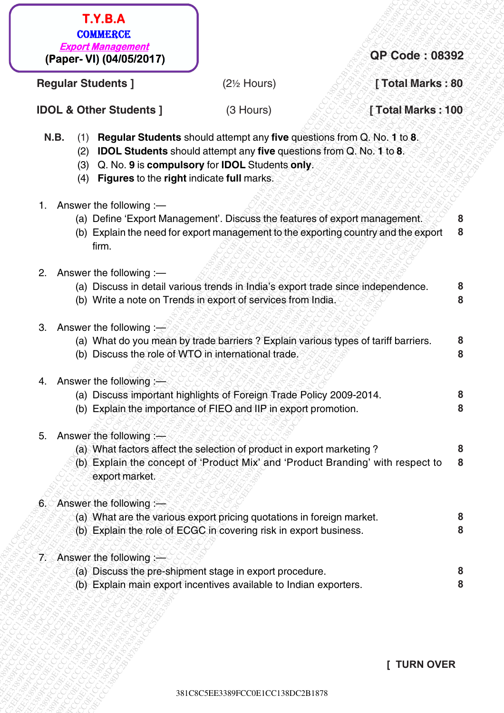381C8C6ECCOE33892<br> **Example Students |** (25 Hours) **CPC Code : 08392**<br>
CD. & Other Students | (3 Hours) [Total Marks : 80<br>
UQ. Bother Students about attempt any five questions form C, No. 16 8.<br>
(3) CJND Students about at 381C8C5EE3389FCC0E1CC138DC2B1878381C8C5EE3389FCC0E1CC138DC2B1878381C8C5EE3389FCC0E1CC138DC2B1878381C8C5EE3389FCC0E1CC138DC2B1878381C8C5EE3389FCC0E1CC138DC2B1878381C8C5EE3389FCC0E1CC138DC2B1878 3 CREATIVE CONTENT CONTENT CONTENT CONTENT CONTENT CONTENT CONTENT CONTENT CONTENT CONTENT CONTENT CONTENT CONTENT CONTENT CONTENT CONTENT CONTENT CONTENT CONTENT CONTENT CONTENT CONTENT CONTENT CONTENT CONTENT CONTENT CO **EXAMPLE TO A CONSULTATION**<br> **Changer May one Students (State 10)** (25 Hours) (21 Hours) (Total Marks : 30<br>
IDOL & Other Students about attempt any the questions for O. No. 1 16 E<br>
(8) IDOL Students about attempt any the TV = 8.<br>
Convertices: 38<br>
Clepar-VI) (040526217)<br>
Regular Students 1<br>
1Clepar-VI) (040526217)<br>
N.B. (1) Begular Students I (3 Hours) [Total Marks : 100<br>
N.B. (1) Equival converted in the origin of the proposition CM b. 1 T.Y.B.A.<br>
(**Paper-VI) (348529717)**<br> **E2:** Hours) **CPC Code : 08382**<br> **RB.** (1) **Declares Street of the Street of the Street of the Street of the Street of the Street of the Street of the Street of the Street of the Street** 381 CREATIVE CONTECTS TO THE CONTECTS CONTECTS CONTECTS CONTECTS CONTECTS CONTECTS CONTECTS CONTECTS CONTECTS CONTECTS CONTECTS CONTECTS CONTECTS CONTECTS CONTECTS CONTECTS CONTECTS CONTECTS CONTECTS CONTECTS CONTECTS CONT 381C8C5EE3389FCC0E1CC138DC2B1878381C8C5EE3389FCC0E1CC138DC2B1878381C8C5EE3389FCC0E1CC138DC2B1878381C8C5EE3389FCC0E1CC138DC2B1878381C8C5EE3389FCC0E1CC138DC2B1878381C8C5EE3389FCC0E1CC138DC2B1878 381C8C5EE3389FCC0E1CC138DC2B1878381C8C5EE3389FCC0E1CC138DC2B1878381C8C5EE3389FCC0E1CC138DC2B1878381C8C5EE3389FCC0E1CC138DC2B1878381C8C5EE3389FCC0E1CC138DC2B1878381C8C5EE3389FCC0E1CC138DC2B1878 381C8C5EE3389FCC0E1CC138DC2B1878381C8C5EE3389FCC0E1CC138DC2B1878381C8C5EE3389FCC0E1CC138DC2B1878381C8C5EE3389FCC0E1CC138DC2B1878381C8C5EE3389FCC0E1CC138DC2B1878381C8C5EE3389FCC0E1CC138DC2B1878 381C8C5EE3389FCC0E1CC138DC2B1878381C8C5EE3389FCC0E1CC138DC2B1878381C8C5EE3389FCC0E1CC138DC2B1878381C8C5EE3389FCC0E1CC138DC2B1878381C8C5EE3389FCC0E1CC138DC2B1878381C8C5EE3389FCC0E1CC138DC2B1878 381C8C5EE3389FCC0E1CC138DC2B1878381C8C5EE3389FCC0E1CC138DC2B1878381C8C5EE3389FCC0E1CC138DC2B1878381C8C5EE3389FCC0E1CC138DC2B1878381C8C5EE3389FCC0E1CC138DC2B1878381C8C5EE3389FCC0E1CC138DC2B1878 T.Y.B.A<br>
(Paper-Vi) (04/05/2017)<br>
Regular Students ]<br>
IC2: Hours) (2-10-urs) (Total Marks : 80<br>
IDOL & Other Students and its computation from C. No. 110 8.<br>
11. Students and its computation from C. No. 110 8.<br>
(3) Discuss 381CREAN COMMAND (CS Hours) (28 Hours) (Total Markes : 80<br>
1990 Market Students 1<br>
1990 Market Students should altern the my five questions form C No. 1 to 8<br>
1990 Market Students should altern the my five questions form C T.Y.B.A.<br>
(Papar VI) (044051357<br>
Regular Students 1<br>
IDOL & Other Students about attention of the apacition from C. No. 1 to 8.<br>
(3) Regular Students about attention from C. No. 1 to 8.<br>
(3) DOL Students about attention fr 381 T.Y.B.A.<br>
(Paper Vi) (0406262017)<br>
Regular Students |<br>
IOCL & Other Students |<br>
IOCL & Other Students |<br>
IOCL & Other Students |<br>
CSIS COM CHARGE CONTINUES |<br>
CSIS COM CHARGE CONTINUES |<br>
CSIS COM CHARGE CONTINUES INTE 381 CRASH CONSTRUCT (CONSTRUCT)<br> **Example To Hours (Stations)** (25 Hours) (Total Marks : 100<br>
1930 dans (Stations) (3 Hours) (Total Marks : 100<br>
1930 dans (Stations) and (Stations) (25 Hours) (Total Marks : 100<br>
1930 dans T.Y.B.A.<br>
(Paper VI) (400452617)<br>
Toola Marks : 80<br>
ND. & Other Students a houd attempt any five quasitons force 0, No. 1 to 8.<br>
(31 Ch is to sempate ay the right model attempt as yield a first state is the capable of the 3<br>
Case Conservery (1) Gas (1) Regular Students |<br>
Case (1) Gas (1) Regular Students a food of Mergy) (25 Hours) [Total Marks : 1<br>
IDOL & Other Students a food of Mergy (2012) [Total Marks is 1<br>
20 IDOL Students about dist 381 T.Y.B.A.<br>
28261EE3381C8C625EE3381C8C625EE3381C8C62217<br>
2826 Hours (2014)<br>
2826 Hours (2014)<br>
2826 Hours (2018)<br>
10 L.S. A.C. (1) Regular Students should attenuate my five questions from C, No. 1 to 8.<br>
(3) L.O. Ko a fo  **QP Code : 08392 Regular Students 1** *(2<sup>1</sup>)***</del> Hours) <b>***Alternative Comparison Comparison Comparison Comparison Comparison Comparison Comparison Comparison Comparison Comparison Comparison Comparison Comparison Comparison Comparison Comp* **IDOL & Other Students ]** *(3 Hours)* **<b>[** *collection***ism [100 http://www.fragmu.org/fragmu.org/fragmu.org/fragmu.org/fragmu.org/fragmu.org/fragmu.org/fragmu.org/fragmu.org/fragmu.org/fragmu.org/fragmu.org/fragmu.org N.B.** (1) **Regular Students** should attempt any **five** questions from Q. No. **1** to **8**. (2) **IDOL Students** should attempt any **five** questions from Q. No. **1** to **8**. (3) Q. No. **9** is **compulsory** for **IDOL** Students **only**. (4) **Figures** to the **right** indicate **full** marks. 1. Answer the following :— (a) Define 'Export Management'. Discuss the features of export management. (b) Explain the need for export management to the exporting country and the export firm. 2. Answer the following :— (a) Discuss in detail various trends in India's export trade since independence. (b) Write a note on Trends in export of services from India. 3. Answer the following  $-\hat{ }$ (a) What do you mean by trade barriers ? Explain various types of tariff barriers. (b) Discuss the role of WTO in international trade. 4. Answer the following :— (a) Discuss important highlights of Foreign Trade Policy 2009-2014. (b) Explain the importance of FIEO and IIP in export promotion. 5. Answer the following  $\equiv$ (a) What factors affect the selection of product in export marketing ? (b) Explain the concept of 'Product Mix' and 'Product Branding' with respect to export market. 6. Answer the following :-(a) What are the various export pricing quotations in foreign market. (b) Explain the role of ECGC in covering risk in export business. 7. Answer the following :— (a) Discuss the pre-shipment stage in export procedure. (b) Explain main export incentives available to Indian exporters. **8 8 8 8 8 8 8 8 8 8 8 8 8 8**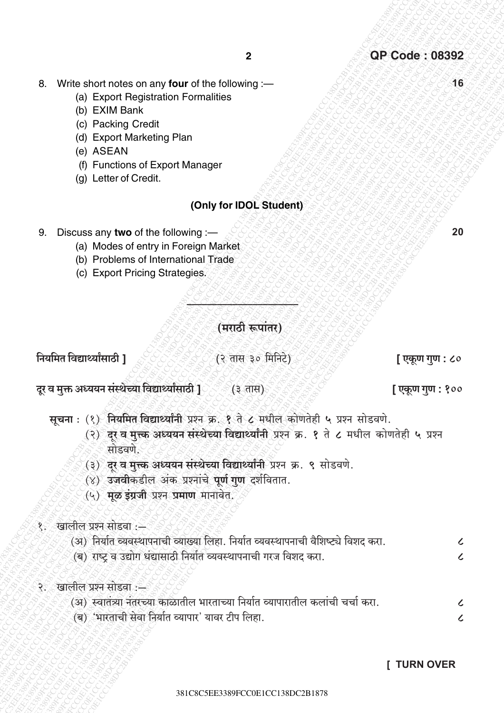- 8. Write short notes on any four of the following :-
	- (a) Export Registration Formalities
	- (b) EXIM Bank
	- (c) Packing Credit
	- (d) Export Marketing Plan
	- (e) ASEAN
	- (f) Functions of Export Manager
	- (q) Letter of Credit.

#### (Only for IDOL Student)

- 9. Discuss any two of the following :-
	- (a) Modes of entry in Foreign Market
	- (b) Problems of International Trade
	- (c) Export Pricing Strategies.

(मराठी रूपांतर)

नियमित विद्यार्थ्यांसाठी 1

(२ तास ३० मिनिटे)

#### दूर व मुक्त अध्ययन संस्थेच्या विद्यार्थ्यांसाठी **]**ं (३ तास)

सूचना: (१) नियमित विद्यार्थ्यांनी प्रश्न क्र. १ ते ८ मधील कोणतेही ५ प्रश्न सोडवणे.

- (२) दूर व मुत्त्क अध्ययन संस्थेच्या विद्यार्थ्यांनी प्रश्न क्र. १ ते ८ मधील कोणतेही ५ प्रश्न सोडवणे
- (३) दर व मुत्त्क अध्ययन संस्थेच्या विद्यार्थ्यांनी प्रश्न क्र. ९ सोडवणे.
- (४) उजवीकडील अंक प्रश्नांचे पूर्ण गुण दर्शवितात.
- (५) मूळ डंग्रजी प्रश्न प्रमाण मानावेत.

#### १.ँ खालील प्रश्न सोडवा :—

- (अ) निर्यात व्यवस्थापनाची व्याख्या लिहा. निर्यात व्यवस्थापनाची वैशिष्ट्ये विशद करा.
- (ब) राष्ट्र व उद्योग धंद्यासाठी निर्यात व्यवस्थापनाची गरज विशद करा.
- २. खालील प्रश्न सोडवा :-
	- (अ) स्वातंत्र्या नंतरच्या काळातील भारताच्या निर्यात व्यापारातील कलांची चर्चा करा.
	- (ब) 'भारताची सेवा निर्यात व्यापार' यावर टीप लिहा.

#### **I TURN OVER**

20

 $16$ 

[ एकूण गुण : ८०

[एकूण गुण : १००

 $\mathcal{L}$  $\overline{\mathcal{L}}$ 

 $\mathcal{L}$ 

 $\overline{\mathcal{L}}$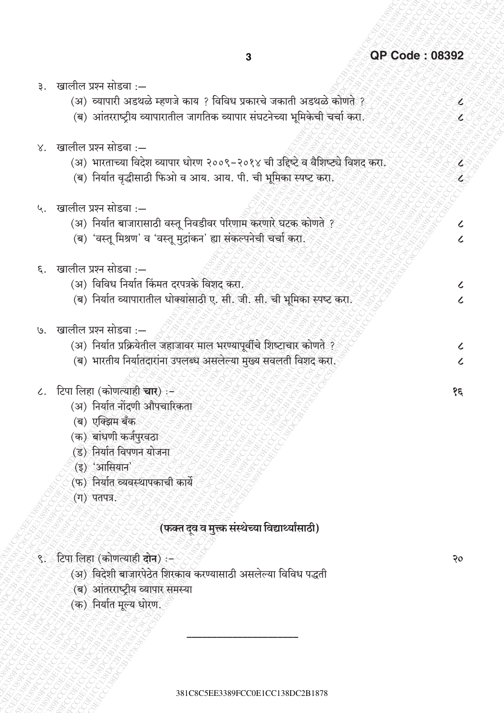É

Ł

V

Z

 $\mathcal{L}$ 

 $\overline{\mathcal{L}}$ 

 $\overline{\mathcal{L}}$ 

 $\overline{\mathcal{L}}$ 

 $\mathcal{L}$ 

 $\overline{\mathcal{L}}$ 

 $\mathfrak{z}$ 

 $50^{\circ}$ 

- ३. खालील प्रश्न सोडवा :—
	- (अ) व्यापारी अडथळे म्हणजे काय ? विविध प्रकारचे जकाती अडथळे कोणते ?
	- (ब) आंतरराष्ट्रीय व्यापारातील जागतिक व्यापार संघटनेच्या भूमिकेची चर्चा करा.
- $\times$  खालील प्रश्न सोडवा :—
	- (अ) भारताच्या विदेश व्यापार धोरण २००९-२०१४ ची उद्दिष्टे व वैशिष्ट्ये विशद करा.
	- (ब) निर्यात वृद्धीसाठी फिओ व आय. आय. पी. ची भूमिका स्पष्ट करा.
- ५. खालील प्रश्न सोडवा :-
	- (अ) निर्यात बाजारासाठी वस्तू निवडीवर परिणाम करणारे घटक कोणते ?
	- (ब) 'वस्तु मिश्रण' व 'वस्तु मुद्रांकन' ह्या संकल्पनेची चर्चा करा.
- ६. खालील प्रश्न सोडवा ·—
	- (अ) विविध निर्यात किंमत दरपत्रके विशद करा.
	- (ब) निर्यात व्यापारातील धोक्यांसाठी ए. सी. जी. सी. ची भूमिका स्पष्ट करा.
- खालील प्रश्न सोडवा ∙—  $\overline{9}$ 
	- (अ) निर्यात प्रक्रियेतील जहाजावर माल भरण्यापूर्वीचे शिष्टाचार कोणते ?
	- (ब) भारतीय निर्यातदारांना उपलब्ध असलेल्या मुख्य सवलती विशद करा.
- ८. टिपा लिहा (कोणत्याही चार) :-
	- (अ) निर्यात नोंदणी औपचारिकता
	- (ब) एक्झिम बँक
	- (क) बांधणी कर्जपुरवठा
	- (ड) निर्यात विपणन योजना
	- (इ) 'आसियान'
	- (फ) निर्यात व्यवस्थापकाची कार्ये
	- (ग) पतपत्र.

# (फक्त दुव व मुत्त्क संस्थेच्या विद्यार्थ्यांसाठी)

- ९. टिपा लिहा (कोणत्याही दोन) :-
	- (अ) विदेशी बाजारपेठेत शिरकाव करण्यासाठी असलेल्या विविध पद्धती
	- (ब) आंतरराष्टीय व्यापार समस्या
	- (क) निर्यात मूल्य धोरण.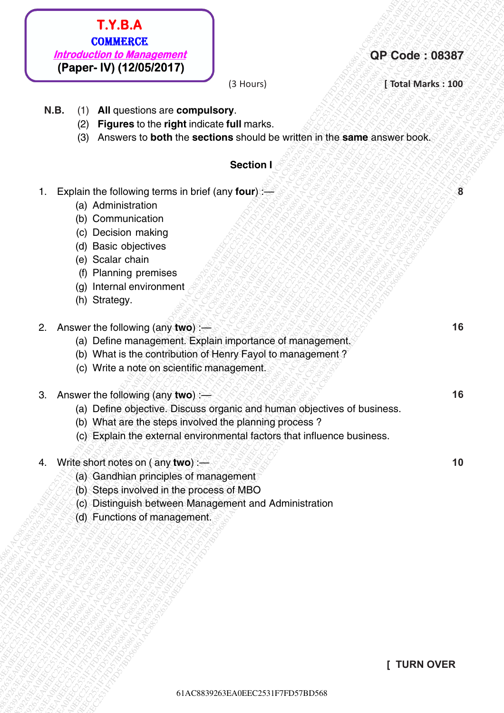# 6288387<br> **ECC2531F802638861AC883884AC8838861AC8839261AC883861AC8839264**<br> **ECC2531F8DF8686161**<br> **ECC2531F808561**<br> **ECCES**<br>
(S) Frances to be obtive the sections a hould be written in the same answer book<br>
Section 1<br>
(S) For 1. T. 13. A.<br>
1. Experimental and Experimental Control of the section of the section of the section of the section of the section of the section of the section of the section of the section of the section of the section of **COMMERCE**<br> **COMMERCE**<br> **COMMERCE**<br> **COMMERCE**<br> **COMMERCE**<br> **COMMERCE**<br> **COMMERCE**<br> **COMMERCEES**<br> **COMMERCEES**<br> **COMMERCEES**<br> **COMMERCEES**<br> **COMMERCEES**<br> **COMMERCEES**<br> **COMMERCEES**<br> **COMMERCEES**<br> **COMMERCEES**<br> **CONSIDERAT COMBETERE**<br> **For CONSTRAINS ACTS**<br> **FORD FROM THE CONSTRAINS (THE CONSTRAINS ACTS)**<br> **REG.** (2) **A respect to the right incidense that makes**<br>
(2) **Property to both the vectors should be written in the same answer book. EXAGRACE:**EXAGRACE<br> **EXAGRACEECE**<br> **FRONGE-CHIVA (1200572017)**<br> **RB.** (1) ALB question as a computer of the metric of the metric of the metric of the metric of the metric of the metric of the metric of the metric of the **FROM TTO CONSERVATELY**<br> *Machinostophe Machinostopheme*<br> **(Paper-W) (120052017)**<br> **R.B.** (1) All quodes to be the print voltation<br>
(3) Progress to be the print voltation<br>
(3) Progress to be the first of the section is sh 1. **C. S. ACTION CONSERVATION**<br>
(**Paper-W) (120832017)**<br>
(**R. B. (1) All quastes to be dight indicate**, will move to a sumple in the same annover to set.<br>
(2) **Figures to the dight indicate** but moved<br>
(2) Acsovers to bed **EXERACE**<br> **EXECUTIVE CONSERVATIVE CONSERVATIVE CONSERVATIVE CONSERVATIVE CONSERVATIVE CONSERVATIVE CONSERVATIVE CONSERVATIVE CONSERVATIVE CONSERVATIVE CONSERVATIVE CONSERVATIVE CONSERVATIVE CONSERVATIVE CONSERVATIVE CONS EXERACE**<br> **EXECUTIVE CONSERVATIVE CONSERVATIVE CONSERVATIVE CONSERVATIVE CONSERVATIVE CONSERVATIVE CONSERVATIVE CONSERVATIVE CONSERVATIVE CONSERVATIVE CONSERVATIVE CONSERVATIVE CONSERVATIVE CONSERVATIVE CONSERVATIVE CONS EXERACE**<br> **EXECUTIVE CONSERVATIVE CONSERVATIVE CONSERVATIVE CONSERVATIVE CONSERVATIVE CONSERVATIVE CONSERVATIVE CONSERVATIVE CONSERVATIVE CONSERVATIVE CONSERVATIVE CONSERVATIVE CONSERVATIVE CONSERVATIVE CONSERVATIVE CONS EXERACE**<br> **EXECUTIVE CONSERVATIVE CONSERVATIVE CONSERVATIVE CONSERVATIVE CONSERVATIVE CONSERVATIVE CONSERVATIVE CONSERVATIVE CONSERVATIVE CONSERVATIVE CONSERVATIVE CONSERVATIVE CONSERVATIVE CONSERVATIVE CONSERVATIVE CONS EX.B.A.**<br> **Example: Example: CASS876125861261**<br> **(BAC) CASSBEADER**<br> **EQ.** (D) **All converse an increasing computation**<br>
(C) **Properties** the regularization in explained the section is a section of the section of th **EXERCE**<br> **EXECTIVE CONSERVATION**<br> **EXECTIVE CONSERVATION**<br> **EXECTIVE CONSERVATION**<br> **EXECTIVE CONSERVATION**<br> **EXECUTE CONSERVATION**<br> **EXECUTE CONSERVATION**<br> **EXECUTE CONSERVATION**<br> **EXECUTE CONSERVATION**<br> **EXECUTE CONSERV F1.Y.B.A.**<br> **EC253587**<br> **EC253887**<br> **EC253887**<br> **EC253887**<br> **EC2531F7FD17802820171**<br> **EC2531F7FD57BD56861AC882A17**<br> **EC2531F7FD56861**<br> **EC2531F7FD56861**<br> **EC2531F7FD56861**<br> **EC2531F7FD56861**<br> **EC2531F7FD56861**<br> **EC2531F7 F. Y. B.A.**<br> **(Paper-1V) (120582017)**<br>
(Paper-1V) (120582017)<br>
B. (B) Figures to the experimental continues of the compulsory<br>
(B) Figures to the observation of the second continues of the same amovements of<br>
(B) Action **F.Y.B.A.**<br>
Introduction to Management<br>
(Paper i.V) (12/05/2017)<br>
N.B. (1) All questions are computed that marks.<br>
(2) Figures to be off through them is the state of the state of the state of the state of the state of the 61AC8839263EA0EEC2531F7FD57BD56861AC8839263EA0EEC2531F7FD57BD56861AC8839263EA0EEC2531F7FD57BD56861AC8839263EA0EEC2531F7FD57BD56861AC8839263EA0EEC2531F7FD57BD56861AC8839263EA0EEC2531F7FD57BD568 1**ACRE**<br> **Frontieric Front (120052017)**<br>
(31 Hours)<br>
(23 Hours)<br>
(23 Hourse IV (120052017)<br>
(3) Administration are computed by<br>
(3) Acres in the decline for the section around contribute.<br>
(5) Administration by the section **F1.Y.B.A**<br> **(COMBERCE)**<br> **(Paper- IV) (12/05/2017)**<br>
(B. (f) All questions are compulsory<br>
12. (5) Papers to the displace included but monts.<br>
(8) Papers to the displace included but monts.<br>
(8) Papers to the displace in **F. Y. B.A.**<br> **(Paper- IV) (12005/2017)**<br>
(**Paper- IV) (12005/2017)**<br>
(**B. C.)** Figures to be obtimized to fill marks.<br>
(**B. C.)** Figures to both the sections should be written in the same answer book.<br>
(**B. Paper- IV) (1**

## **QP Code : 08387**

**(3 Hours)** *<b>EXALCERTIVE Marks : 100* 

**8**

**16**

**16**

**10**

- **N.B.** (1) **All** questions are **compulsory**.
	- (2) **Figures** to the **right** indicate **full** marks.
	- (3) Answers to **both** the **sections** should be written in the **same** answer book.

#### **Section I**

- 1. Explain the following terms in brief (any **four**):
	- (a) Administration
	- (b) Communication
	- (c) Decision making
	- (d) Basic objectives
	- (e) Scalar chain
	- (f) Planning premises
	- (g) Internal environment
	- (h) Strategy.
- 2. Answer the following (any **two**) :—
	- (a) Define management. Explain importance of management.
	- (b) What is the contribution of Henry Fayol to management ?
	- (c) Write a note on scientific management.
- 3. Answer the following (any **two**) :—
	- (a) Define objective. Discuss organic and human objectives of business.
	- (b) What are the steps involved the planning process ?
	- (c) Explain the external environmental factors that influence business.
- 4. Write short notes on ( any **two**) :—
	- (a) Gandhian principles of management
	- (b) Steps involved in the process of MBO
	- (c) Distinguish between Management and Administration
	- (d) Functions of management.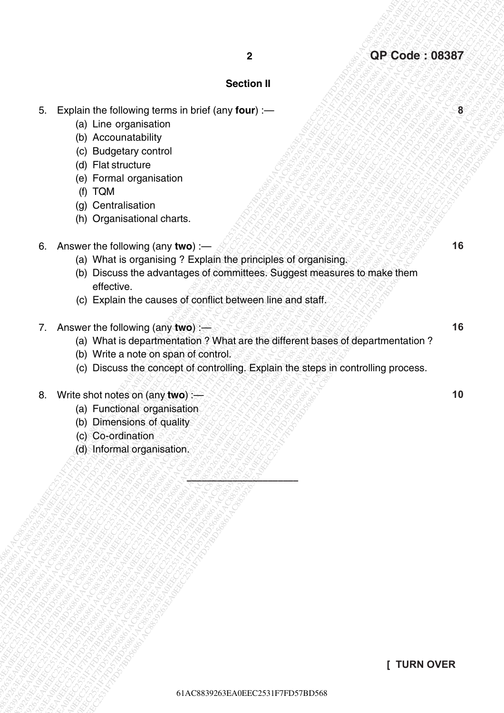#### **Section II**

- 5. Explain the following terms in brief (any **four**) :—
	- (a) Line organisation
	- (b) Accounatability
	- (c) Budgetary control
	- (d) Flat structure
	- (e) Formal organisation
	- (f) TQM
	- (g) Centralisation
	- (h) Organisational charts.
- 6. Answer the following (any **two**) :—
	- (a) What is organising ? Explain the principles of organising.

\$\$\$\$<u>\X`&&\$\\$\\$\\$\\$\\$\_</u>\_\_\_\_\_

- Explain the following terms in biret (any four) --<br>
Eq. (b) Accourated biry<br>
(c) B Accourated biry<br>
(c) B Accourated birth<br>
(c) B Accourated birth<br>
(c) Explain the causes of committees. Suppose the cause of contract birth 8263<br>
61 AC Concernent in the following terms in brief (any four) :-<br>
8 (b) Accountabative)<br>
(c) Booglyncy contribution<br>
(c) Tomal dignessions<br>
(c) Tomal dignessions<br>
(c) Tomal dignessions<br>
(c) Tomal dignessions<br>
(c) Conc 61AC8839263EA0EEC2531F7FD57BD56861AC8839263EA0EEC2531F7FD57BD56861AC8839263EA0EEC2531F7FD57BD56861AC8839263EA0EEC2531F7FD57BD56861AC8839263EA0EEC2531F7FD57BD56861AC8839263EA0EEC2531F7FD57BD568 6. Explain the following terms in brief (any four) -<br>
6. Characteristic (iv) Line organisation<br>
(i) Line organisation<br>
(i) Production and the production<br>
(i) Production and the production<br>
(i) Of Decrease the state and th 61AC8839263EA0EEC2531F7FD57BD56861AC8839263EA0EEC2531F7FD57BD56861AC8839263EA0EEC2531F7FD57BD56861AC8839263EA0EEC2531F7FD57BD56861AC8839263EA0EEC2531F7FD57BD56861AC8839263EA0EEC2531F7FD57BD568 8<br>
5 Explain the following turns in this f<sub>ore</sub> foury<br>
(b) the organisation<br>
(b) Reaction control of the organisation<br>
(c) Explain the original control<br>
(c) The structure of the structure of the original control<br>
(c) Care 8<br>
6. Explain the following terms and of they four y-<br>
(b) the companisation<br>
(b) Pocks and the companisation<br>
(d) Entractions<br>
(b) Chemistration<br>
(b) Chemistration<br>
(b) Chemistration<br>
(b) Chemistration<br>
(b) Chemistration<br> Explain the following terms intertigral **Section 1**<br>
(a) Line organization<br>
(b) Accountability<br>
(c) Butgetsty control<br>
(c) Butgetsty control<br>
(c) Butgetsty control<br>
(e) Process organization<br>
(e) Organization organization<br> Explain the following terms intertigral **Section 1**<br>
(a) Line organization<br>
(b) Accountability<br>
(c) Butgetsty control<br>
(c) Butgetsty control<br>
(c) Butgetsty control<br>
(e) Process organization<br>
(e) Organization organization<br> Explain the following terms intertigral **Section 1**<br>
(a) Line organization<br>
(b) Accountability<br>
(c) Butgetsty control<br>
(c) Butgetsty control<br>
(c) Butgetsty control<br>
(e) Process organization<br>
(e) Organization organization<br> Explain the following terms intertigral **Section 1**<br>
(a) Line organization<br>
(b) Accountability<br>
(c) Butgetsty control<br>
(c) Butgetsty control<br>
(c) Butgetsty control<br>
(e) Process organization<br>
(e) Organization organization<br> 8<br>
61 AC Box and Control of the Control of the Control of the Control of the Control of the Control of the Control of the Case of the Control of the Case of the Control of the Case of the Control of the Case of the Case of 62<br>
63 Capital the following terms in biof (any four)<br>
(b) Line argentisches<br>
(b) Capital internation<br>
(c) Capital internation<br>
(b) Capital internation<br>
(b) Capital internation<br>
(b) Capital internation<br>
(b) Capital interna 8<br>
63 Eachin flux (olowing terms in twici (iany four)<br>
63 Lute ungenisation<br>
(b) Accountables iny<br>
(c) Budgetary control<br>
(d) Facture understand<br>
(g) Chernal experiments<br>
(g) Chernal experiments<br>
(b) Control of any four)<br> 8<br>
5. Explusin the following terms in brief (any feur) -<br>
tal the manuscaline<br>
(c) Mcannastability<br>
(c) Mcannastability<br>
(c) TOM Total actions of<br>
(c) Tomas downloaden<br>
(c) Tomas downloaden<br>
(c) Tomas downloaded committee <sup>2</sup><br> **6** Captain the following terms in brief (any four) -<br>
(a) Line organization<br>
(b) Accountables<br>
(c) Beramation<br>
(e) Beramation and Captain the principles of organization<br>
(e) Discusse the studies considerable<br>
(a) Min 826261AC88387<br>
8261 Explain the following terms in brief (term) terms<br>
(c) language young terms<br>
(c) and production<br>
(c) Danguage of Carrier and Carrier and Carrier and Carrier and Carrier and Carrier and Carrier and Carri 4<br>
5. Explain the following terms in brief (any four) :-<br>
(o) Leo Conditation<br>
(c) Conditation<br>
(d) Certainstoon<br>
(d) Certainstoon<br>
(d) Certainstoon<br>
(d) Certainstoon<br>
(d) Certainstoon<br>
(i) Certainstoon<br>
(i) Certainstoon<br> 8<br>
62 Capitalin the following terms in brief (any four) :-<br>
(b) Accountability<br>
(c) Burgarian organisms<br>
(d) Accountability<br>
(c) Burgarian organisms<br>
(d) Capital organisms<br>
(m) Constantianano<br>
(m) Constantianano<br>
(i) Owne 8<br>
62 Capitain the following terms in third (any four) —<br>
(b) Ancourantability<br>
(c) Budstructure<br>
(b) Rodstructure<br>
(d) Electric comprises<br>
(d) Electric comprises<br>
(g) Capital comprises<br>
(b) Organisation<br>
(b) Organisation (b) Discuss the advantages of committees. Suggest measures to make them effective.
	- (c) Explain the causes of conflict between line and staff.
	- 7. Answer the following (any **two**) :—
		- (a) What is departmentation ? What are the different bases of departmentation ?
		- (b) Write a note on span of control.
		- (c) Discuss the concept of controlling. Explain the steps in controlling process.
	- 8. Write shot notes on (any **two**) :—
		- (a) Functional organisation
		- (b) Dimensions of quality
		- (c) Co-ordination
		- (d) Informal organisation.

**16**

**8**

**16**

**10**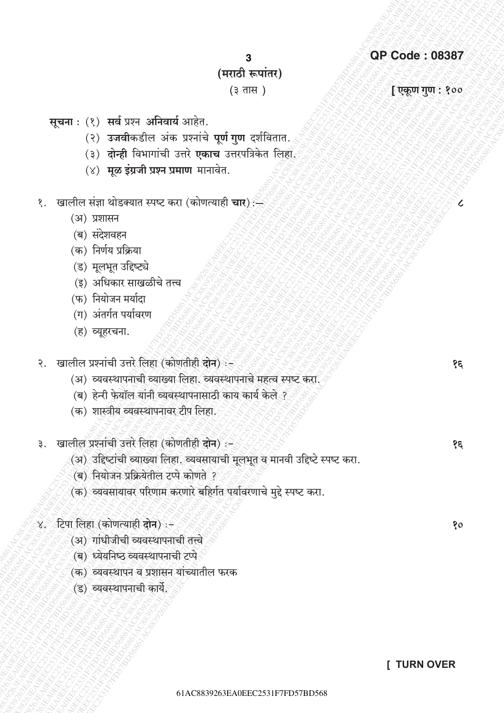### **QP Code: 08387**

3

## (मराठी रूपांतर)

#### $(3 \overline{d})$

[एकूण गुण : १००

१६

१६

80

सूचना: (१) सर्व प्रश्न अनिवार्य आहेत.

- (२) उजवीकडील अंक प्रश्नांचे पूर्ण गुण दर्शवितात.
- (३) **दोन्ही** विभागांची उत्तरे एकाच उत्तरपत्रिकेत लिहा.
- (४) मूळ इंग्रजी प्रश्न प्रमाण मानावेत.
- १. खालील संज्ञा थोडक्यात स्पष्ट करा (कोणत्याही **चार**)
	- (अ) प्रशासन
	- (ब) संदेशवहन
	- (क) निर्णय प्रक्रिया
	- (ड) मूलभूत उद्दिष्ट्ये
	- (इ) अधिकार साखळीचे तत्त्व
	- (फ) नियोजन मर्यादा
	- (ग) अंतर्गत पर्यावरण
	- (ह) व्यूहरचना.
- २. खालील प्रश्नांची उत्तरे लिहा (कोणतीही दोन) :-
	- (अ) व्यवस्थापनाची व्याख्या लिहा. व्यवस्थापनाचे महत्व स्पष्ट करा.
	- (ब) हेन्री फेयॉल यांनी व्यवस्थापनासाठी काय कार्य केले ?
	- (क) शास्त्रीय व्यवस्थापनावर टीप लिहा.
- ३. खालील प्रश्नांची उत्तरे लिहा (कोणतीही दोन) :-
	- (अ) उद्दिष्टांची व्याख्या लिहा. व्यवसायाची मूलभूत व मानवी उद्दिष्टे स्पष्ट करा.
	- (ब) नियोजन प्रक्रियेतील टप्पे कोणते ?
	- (क) व्यवसायावर परिणाम करणारे बहिर्गत पर्यावरणाचे मुद्दे स्पष्ट करा.
- ४. टिपा लिहा (कोणत्याही दोन) :-
	- (अ) गांधीजीची व्यवस्थापनाची तत्त्वे
	- (ब) ध्येयनिष्ठ व्यवस्थापनाची टप्पे
	- (क) व्यवस्थापन व प्रशासन यांच्यातील फरक
	- (ड) व्यवस्थापनाची कार्ये.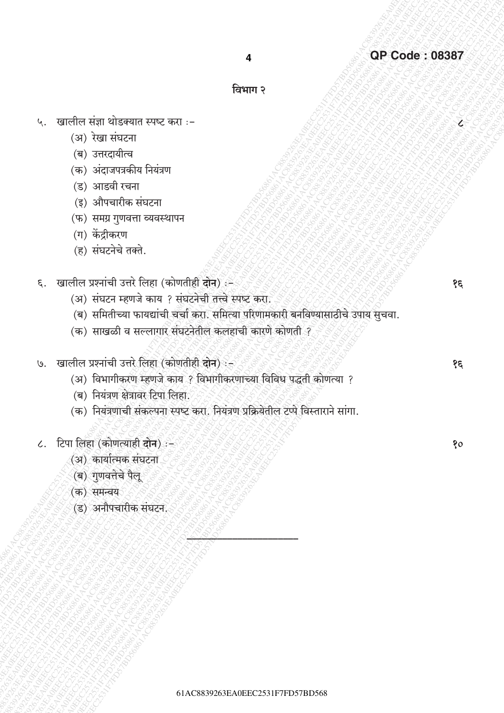4

### विभाग २

- ५. खालील संज्ञा थोडक्यात स्पष्ट करा :-
	- (अ) रेखा संघटना
	- (ब) उत्तरदायीत्व
	- (क) अंदाजपत्रकीय नियंत्रण
	- (ड) आडवी रचना
	- (इ) औपचारीक संघटना
	- (फ) समग्र गुणवत्ता व्यवस्थापन
	- (ग) केंद्रीकरण
	- (ह) संघटनेचे तक्ते.
- ६. खालील प्रश्नांची उत्तरे लिहा (कोणतीही दोन) :-
	- (अ) संघटन म्हणजे काय ? संघटनेची तत्त्वे स्पष्ट करा.
	- (ब) समितीच्या फायद्यांची चर्चा करा. समित्या परिणामकारी बनविण्यासाठीचे उपाय सुचवा.
	- (क) साखळी व सल्लागार संघटनेतील कलहाची कारणे कोणती ?
- ७. खालील प्रश्नांची उत्तरे लिहा (कोणतीही दोन) :-
	- (अ) विभागीकरण म्हणजे काय ? विभागीकरणाच्या विविध पद्धती कोणत्या ?
	- (ब) नियंत्रण क्षेत्रावर टिपा लिहा.
	- (क) नियंत्रणाची संकल्पना स्पष्ट करा. नियंत्रण प्रक्रियेतील टप्पे विस्ताराने सांगा.
- ८. टिपा लिहा (कोणत्याही दोन) :-
	- (अ) कार्यात्मक संघटना
	- (ब) गणवत्तेचे पैलू
	- (क) समन्वय
	- (ड) अनौपचारीक संघटन.

 $\mathfrak{z}$ 

 $\overline{\mathcal{L}}$ 

80

१६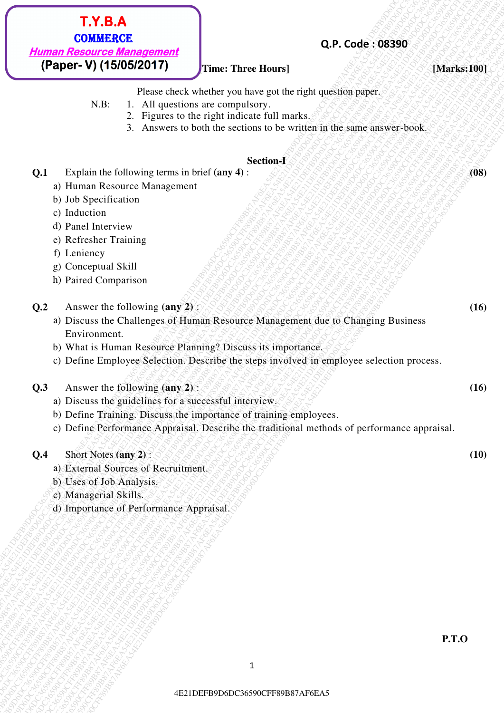**Q.P. Code : 08390**

#### **[Inverted Hours] [Marks:100] [Marks:100]**

Please check whether you have got the right question paper.

- N.B: 1. All questions are compulsory.
	- 2. Figures to the right indicate full marks.
	- 3. Answers to both the sections to be written in the same answer-book.

#### **Section-I**

**Q.1** Explain the following terms in brief **(any 4)** : **(08)** 

- a) Human Resource Management
- b) Job Specification
- c) Induction
- d) Panel Interview
- e) Refresher Training
- f) Leniency
- g) Conceptual Skill
- h) Paired Comparison
- **Q.2** Answer the following **(any 2)** : *(2)*  $\frac{1}{2}$   $\frac{1}{2}$   $\frac{1}{2}$   $\frac{1}{2}$   $\frac{1}{2}$   $\frac{1}{2}$   $\frac{1}{2}$   $\frac{1}{2}$   $\frac{1}{2}$   $\frac{1}{2}$   $\frac{1}{2}$  **(16)**
- **EXTRAGAFF8.** COMBEASER<br> **EPAPER-V (15.0052017)**<br> **EPAPER-V (15.0052017)**<br> **EPAPER-V (15.0052017)**<br> **EXTREME-THE CONFIDENTIAL SYSUEM BY EXAMPLE PROTOCOL TOTAL AT THE CONFIDENCE CONFIDENCE<br>
21 FRAME-V (200 POSSES) CONFIDEN CPACE AFF898888**<br> **CPACE AFF89D6DC3077**<br> **CPACE AFF89D6DC30777**<br> **CPACE AFF89D6DC30777**<br>
THE THE HOMES PART WAT EVER THE HOMES PART OF THE CHAMBER OF THE CHAMBER 210 AT A LAD CONSULTABLE 1. ALLOWED IS CONSULTED THAT A LA **FEEDER AFRAF6AF6EA54E21**<br> **(Pupper-V) (1500E87AP6F8)**<br> **CALC CONSECTED**<br>
TATE: In All properties the content but the state of the line of the state of the state of the state of the state of the state of the state of the 4E21DEFB9D6DC36590CFF89B87AF6EA54E21DEFB9D6DC36590CFF89B87AF6EA54E21DEFB9D6DC36590CFF89B87AF6EA54E21DEFB9D6DC36590CFF89B87AF6EA54E21DEFB9D6DC36590CFF89B87AF6EA54E21DEFB9D6DC36590CFF89B87AF6EA5 **EXTRA AFF 80**<br> **COMERCO2017 CFF89B87**<br> **CROSSCOFF89B87**<br> **CROSSCOFF80D CFF80D CFF88 COMERCO2017**<br> **R.B.** Transversion and consider you increase and consider the radio of the radio of the radio of the radio of the radio o **421 CFF89**<br> **EXERCISE CONSULS CONSULS CONSULS CONSULS CONSULS CONSULS CONSULS CONSULS CONSULS CONSULS CONSULS CONSULS CONSULS CONSULS CONSULS CONSULS CONSULS CONSULS CONSULS CONSULS CONSULS CONSULS CONSULS CONSULS CONSUL 42.5.4.4. 42.6.4. 42.6.4. 42.6. CONSECORPS**<br> **EPROPERTY (15006267471) These Charges Conservations and the conservations are conserved to conserve the conserved to the conserved to conserve the conserved to a se 42.5.4.4. 42.6.4. 42.6.4. 42.6. CONSECORPS**<br> **EPROPERTY (15006267471) These Charges Conservations and the conservations are conserved to conserve the conserved to the conserved to conserve the conserved to a se 42.5.4.4. 42.6.4. 42.6.4. 42.6. CONSECORPS**<br> **EPROPERTY (15006267471) These Charges Conservations and the conservations are conserved to conserve the conserved to the conserved to conserve the conserved to a se 42.5.4.4. 42.6.4. 42.6.4. 42.6. CONSECORPS**<br> **EPROPERTY (15006267471) These Charges Conservations and the conservations are conserved to conserve the conserved to the conserved to conserve the conserved to a se 42.5.4.4. 42.6.4. 42.6.4. 42.6. CONSECORPS**<br> **EPROPERTY (15006267471) These Charges Conservations and the conservations are conserved to conserve the conserved to the conserved to conserve the conserved to a se 42.5.4.4. 42.6.4. 42.6.4. 42.6. CONSECORPS**<br> **EPROPERTY (15006267471) These Charges Conservations and the conservations are conserved to conserve the conserved to the conserved to conserve the conserved to a se 42.5.4.6.** COMBARGERS (COMBARGERS)<br> **EXERCISE CONSULTS (PACE CONSULTS)**<br> **EXERCISE CONSULTS (PACE CONSULTS)**<br>  $\begin{bmatrix}\n\text{A1} & \text{A2} & \text{A3} & \text{A4} & \text{A4} & \text{A5} & \text{A5} & \text{A6} & \text{A6} & \text{A7} & \text{A8} & \text{A7} & \text{A8} & \text{A8} & \text{A$ **EXT. SE. AS**<br> **EXECUTE:**<br> **EXECUTE:**<br> **EXECUTE:**<br> **EXECUTE:**<br> **EXECUTE:**<br> **EXECUTE:**<br> **EXECUTE:**<br> **EXECUTE:**<br> **EXECUTE:**<br> **EXECUTE:**<br> **EXECUTE:**<br> **CALCED CONSENS CONSENS ARE RECONSENS**<br> **CALCED CONSENS** AFFECAFFECAFFECAF **42.1.8.ACFF89B87**<br> **EXECUTE:** COMMERCAST TIME TIME THE THE TREVE TRANSFER (DAMAGESIAS)<br> **COMMERCAST COMMERCAST TIME TIME THE TRANSFER CASE AFFORD COMMERCAST COMMERCAST COMMERCAST COMMERCAST COMMERCAST COMMERCAST COMMERCA 42.1.1.2.5.4. CAP. Code : 083300**<br> **CBAGEX COSSECORTS**<br> **CREATE THE CONSUMERATION**<br> **CREATE THE CONSUMERATION**<br>
STREET AFFORD CONSULTS IN THE CONSULTS OF THE CONSULTS AFFORD CONSULTS AT A THE CONSULTS AFFORD CONSULTS A **42.1.1.3.4.2.**<br> **42.9. Code (198390)**<br> **42.9. Code (198390)**<br> **42.9. Code (198390)**<br> **42.8.** The United State shows the set of the section state.<br>  $\therefore$  The United State shows the set of the section is the set of the set **42.1.1.8.AF6**<br> **EXECUTE:**<br> **EXECUTE:**<br> **EXECUTE:**<br> **EXECUTE:**<br> **EXECUTE:**<br> **EXECUTE:**<br> **EXECUTE:**<br> **EXECUTE:**<br> **EXECUTE:**<br> **EXECUTE:**<br> **EXECUTE:**<br> **EXECUTE:**<br> **EXECUTE:**<br> **EXECUTE:**<br> **EXECUTE:**<br> **EXECUTE:**<br> **EXECUTE:**<br> **42.1.8.4. CP-89**<br> **EXECUTE: CPACE COSTFRAMELY (SUBSERIES) CPACE COSTFRAMELY (SUBSERIES) CPACE COSTFRAMELY (NOTER COSTFRAMELY CONTINUES) NATALY (NOTER COSTFRAMELY CONTINUES) CPACE CONTINUES)**<br> **CPACE CONTINUES EXTERA EXECUTE TO CONSECT CONSECT CONSECT CONSECT CONSECT CONSECT CONSECT CONSECT CONSECT CONSECT CONSECT CONSECT CONSECT CONSECT CONSECT CONSECT CONSECT CONSECT CONSECT CONSECT CONSECT CONSECT CONSECT CONSECT CONSECT CO** a) Discuss the Challenges of Human Resource Management due to Changing Business Environment.
	- b) What is Human Resource Planning? Discuss its importance.
	- c) Define Employee Selection. Describe the steps involved in employee selection process.
	- **Q.3** Answer the following **(any 2)** : **(16)** 
		- a) Discuss the guidelines for a successful interview.
		- b) Define Training. Discuss the importance of training employees.
		- c) Define Performance Appraisal. Describe the traditional methods of performance appraisal.

#### **Q.4** Short Notes (any 2) :  $\sqrt{3}$  ,  $\sqrt{2}$  ,  $\sqrt{2}$  ,  $\sqrt{3}$  ,  $\sqrt{3}$  ,  $\sqrt{3}$  (10)

- a) External Sources of Recruitment.
- b) Uses of Job Analysis.
- c) Managerial Skills.
- d) Importance of Performance Appraisal.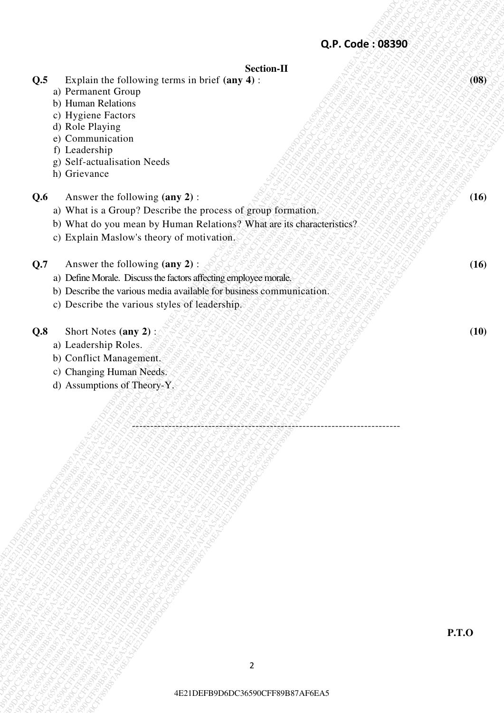# Q.P. Code: : 08390<br>  $\theta$  Dependent descriptions<br>
of Brightes Tacrons<br>
of Back-Partners<br>
of Dependent descriptions<br>
of Dependent descriptions<br>
of Dependent descriptions<br>  $\theta$  Dependent descriptions<br>  $\theta$  Dependent descript 42.5 Explain the following terms is held of section-11<br>
on Promaton Crosses<br>
on Hugons Passes<br>
at the Bargel<br>
at the Bargel<br>
at the Bargel<br>
at the Bargel<br>
at the Bargel Castelland Castelland<br>
proposed to the Coloradian Sec Q.F. Code: 308360<br>
a) Premium of Company terms in brief (any 3):<br>
b) Harana Kelistonian<br>
c) Commantenties<br>
c) Commantenties<br>
c) Commantenties<br>
c) Commantenties<br>
p Keli as and the street of the street of the street of the 42. Explain the Laboring tensor at Unix Company of Secondary 1998<br>
2. Dependent Company of the Company of the Company of the Company of the Company of the Company of the Company of the Company of the Company of the Company 4E21DEFB9D6DC36590CFF89B87AF6EA54E21DEFB9D6DC36590CFF89B87AF6EA54E21DEFB9D6DC36590CFF89B87AF6EA54E21DEFB9D6DC36590CFF89B87AF6EA54E21DEFB9D6DC36590CFF89B87AF6EA54E21DEFB9D6DC36590CFF89B87AF6EA5 4B2<br>  $4B$ <br>  $B$  Procedure Passon<br>  $B$  Procedure Passon<br>  $B$  Procedure Passon<br>  $B$  Communication<br>  $B$  Communication<br>  $B$  Define the Communication<br>  $B$  Define the Communication<br>  $B$  Define the Communication<br>  $B$  Define the C 4C4 Explore the following cerric in heric image of the state of the state of the state of the state of the state of the state of the state of the state of the state of the state of the state of the state of the state of t 4C4 Explore the following cerric in heric image of the state of the state of the state of the state of the state of the state of the state of the state of the state of the state of the state of the state of the state of t 4C4 Explore the following cerric in heric image of the state of the state of the state of the state of the state of the state of the state of the state of the state of the state of the state of the state of the state of t 4C4 Explore the following cerric in heric image of the state of the state of the state of the state of the state of the state of the state of the state of the state of the state of the state of the state of the state of t 4C4 Explore the following cerric in heric image of the state of the state of the state of the state of the state of the state of the state of the state of the state of the state of the state of the state of the state of t 4C4 Explore the following cerric in heric image of the state of the state of the state of the state of the state of the state of the state of the state of the state of the state of the state of the state of the state of t 42. Existia the following terms in brief (any 4)<br>
a) Fremancia Garding the strategies of the strategies of the strategies of the strategies of the strategies of the strategies of the strategies of the strategies of the st 42<br>
42 Explain the following terms in Writ (tary 4):<br>
b) Home Relation<br>
10 Hygier Francor<br>
2) Chemical Correlation<br>
2) Comparison<br>
2) Comparison<br>
2) Comparison<br>
2) Comparison<br>
2) Comparison<br>
2) Comparison<br>
2) Comparison<br>
2 42.4 Booklain the following terms in boof tary 43<br>
2.9. Code : 08390<br>
2.9. Under Returns<br>
2.6 CFF89P81<br>
2.0 Under Paper Variance<br>
2.6 CFF89P81<br>
2.6 CFF89B87AF6EA54E21<br>
2.6 CFF89B87AF6EA54E21<br>
2.6 NF68 A 6800FF9D6DC36541E21 4C2 Explain the following serve in brief (any 41):<br>
the Hamiltonian Reicharge<br>
the Hamiltonian Reicharge<br>
2) Blue Hamiltonian Reicharge<br>
2) Blue Hamiltonian Reicharge<br>
2) Blue Constantine Reicharge<br>
2) Star Affeline Star ( 4C2<br>
(3) Propain the following terms in heat (any 4):<br>
(b) Propain textors<br>
of Role Physics<br>
Of Representation<br>
of Role Physics<br>
Of Role Physics<br>
Communication<br>
System and the process of group formula and<br>
System and the p 42.5 Explanation Endowsing terms in touch (angle) Section-11<br>
1) Hymne Realism<br>
1) Hymne Realism<br>
2) Corresponding<br>
2) Corresponding<br>
2) Corresponds<br>
2) Corresponding<br>
2) Corresponding<br>
2) Section-2<br>
2) New The East of Sch Q.P. Code : 083590<br>  $\theta$ 2.P. Code : 083590<br>
a) the mass of constant<br>
c) the player measure constant<br>
c) the player measure constant<br>
c) the player measure constant of the player measure of grown formations.<br>
So Agency the 42.4 Explain the following terms in brief (way 4):<br>
a) Pramament Grrans<br>
O. Hughest Pages<br>
O. Hughest Pages<br>
O. Hughest Pages<br>
D. Newton Explained Were The Face of the Hughest Pages<br>
No Scheme The East Page Street Case (wa **Section-II Q.5** Explain the following terms in brief **(any 4)** :  $\sqrt{2\pi}$   $\sqrt{2\pi}$   $\sqrt{2\pi}$   $\sqrt{2\pi}$   $\sqrt{2\pi}$  **(08)** a) Permanent Group b) Human Relations c) Hygiene Factors d) Role Playing e) Communication f) Leadership g) Self-actualisation Needs h) Grievance **Q.6** Answer the following (any 2) :  $\mathcal{L}(\mathcal{L}(\mathcal{L})) \cong \mathcal{L}(\mathcal{L}(\mathcal{L})) \cong \mathcal{L}(\mathcal{L}(\mathcal{L})) \cong \mathcal{L}(\mathcal{L}(\mathcal{L})) \cong \mathcal{L}(\mathcal{L}(\mathcal{L})) \cong \mathcal{L}(\mathcal{L}(\mathcal{L})) \cong \mathcal{L}(\mathcal{L}(\mathcal{L})) \cong \mathcal{L}(\mathcal{L}(\mathcal{L})) \cong \mathcal{L}(\mathcal{L}(\mathcal{$ a) What is a Group? Describe the process of group formation. b) What do you mean by Human Relations? What are its characteristics? c) Explain Maslow's theory of motivation. **Q.7** Answer the following **(any 2)** :  $\frac{1}{2}$  (3)  $\frac{1}{2}$  (3)  $\frac{1}{2}$  (3)  $\frac{1}{2}$  (3)  $\frac{1}{2}$  (3)  $\frac{1}{2}$  (16) a) Define Morale. Discuss the factors affecting employee morale. b) Describe the various media available for business communication. c) Describe the various styles of leadership. **Q.8** Short Notes **(any 2)** : **(10) CALLACTER (20) CALLACTER** (10) a) Leadership Roles. b) Conflict Management. c) Changing Human Needs. d) Assumptions of Theory-Y.

--------------------------------------------------------------------------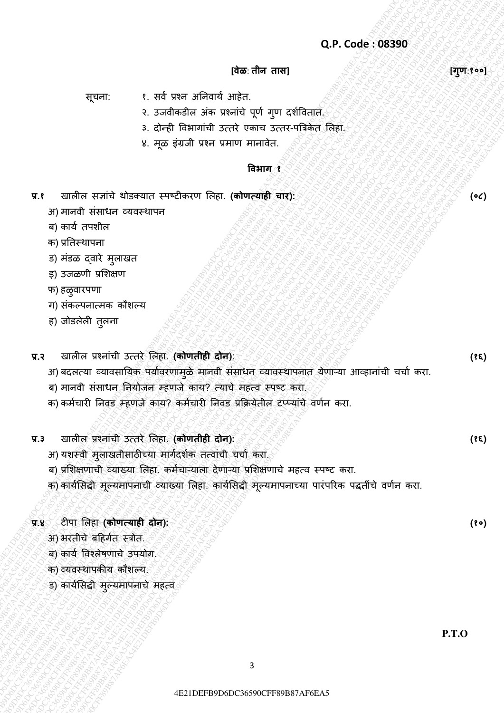#### **[वेळ**: **तीन तास] [गणु** :**१००]**

सूचना: १. सर्व प्रश्न अनिवार्य आहेत.

- २. उजवीकडील अंक प्रश्नांचे पूर्ण गुण दर्शवितात.
- ३. दोन्ही विभागांची उत्तरे एकाच उत्तर-पत्रिकेत लिहा.
- ४. मूळ इंग्रजी प्रश्न प्रमाण मानावेत.

#### **ववभाग १**

- **प्र.१ खालील सज्ञांचे थोडक्यात स्पष्टीकरण लिहा. <b>(कोणत्याही चार): ४००,४००,४००,४००,४००,४००,४००,४००** (•८)
	- अ) मानर्ी संसाधन व्र्र्स्थापन
	- ब) कार्व तपर्ील
	- क) प्रनतस्थापना
	- ड) मंडळ द्वारे मुलाखत
	- इ) उजळणी प्रशिक्षण
	- फ) हळूवारपणा
	- ग) संकल्पनात्मक कौशल्य
	- ह) जोडलेली तुलना

**प्र.२** खालील प्रश्नांची उत्तरȯ ललहा. **(कोणतीही दोन)**: **(१६)**

Q.P. Code: 08390<br>  $QP$ . Code: 08390<br>  $QP(t+1)$ <br>  $QQ(t+2)$ <br>  $\therefore$  and  $\frac{1}{2}$  and  $\frac{1}{2}$  and  $\frac{1}{2}$  and  $\frac{1}{2}$  and  $\frac{1}{2}$  and  $\frac{1}{2}$  and  $\frac{1}{2}$ <br>  $\therefore$  and  $\frac{1}{2}$  and  $\frac{1}{2}$  and  $\frac{1}{2}$  and  $\frac{1}{2$ Q.P. Code: 389390<br>  $Q.P. Code: 89290$ <br>  $Q.P. and 22290 + 22290 + 22290 + 22290 + 22290 + 22290 + 22290 + 22290 + 22290 + 22290 + 22290 + 22290 + 22290 + 22290 + 22290 + 22290 + 22290 + 22290 + 22290 + 22290 + 22290 + 22290 + 22290 + 22290 + 22290 + 22290 +$ Q.P. Code: 308590<br>
47922 1: 22 code internal consideration consideration<br>
4 code internal consideration consideration consideration<br>
2. 22 code internal bibles internal consideration consideration<br>
2. 23 code internal bib 42 E21 DEFB9D6DC36590CFF89B87AF6EA54E21DEFB9D6DC38590CFF89B87AF6EA54E21DEFB9D6DC36590CFF89B87AF6EA54E21DEFB9D6DC36590CFF89EA54E21DEFB9D6DC36590CFF89EA54E21DEFB9D6DC36590CFF89EA54E21DEFB9D6DC36590CFF89EA54E21DEFB9D6DC3659  $Q.P. Code: 08299$ <br>  $Q.P. Code: 08299$ <br>  $Q.m. 1$  and  $Q.m. 1$ <br>  $Q.m. 2$ <br>  $Q.m. 2$ <br>  $Q.m. 2$ <br>  $Q.m. 2$ <br>  $Q.m. 2$ <br>  $Q.m. 2$ <br>  $Q.m. 2$ <br>  $Q.m. 2$ <br>  $Q.m. 2$ <br>  $Q.m. 2$ <br>  $Q.m. 2$ <br>  $Q.m. 2$ <br>  $Q.m. 2$ <br>  $Q.m. 2$ <br>  $Q.m. 2$ <br>  $Q.m. 2$ <br>  $Q.m. 2$ <br>  $Q.m. 2$ <br>  $Q.m. 2$ <br> 4E21DEFB9D6DC36590CFF89B87AF6EA54E21DEFB9D6DC36590CFF89B87AF6EA54E21DEFB9D6DC36590CFF89B87AF6EA54E21DEFB9D6DC36590CFF89B87AF6EA54E21DEFB9D6DC36590CFF89B87AF6EA54E21DEFB9D6DC36590CFF89B87AF6EA5 4B-C-C-04e : 08390<br>
(and the distribution of the distribution of the distribution of the distribution of the distribution of the distribution of the distribution of the distribution of the distribution of the distributio 4B-C-C-04e : 08390<br>
(and the distribution of the distribution of the distribution of the distribution of the distribution of the distribution of the distribution of the distribution of the distribution of the distributio 4B-C-C-04e : 08390<br>
(and the distribution of the distribution of the distribution of the distribution of the distribution of the distribution of the distribution of the distribution of the distribution of the distributio 4B-C-C-04e : 08390<br>
(and the distribution of the distribution of the distribution of the distribution of the distribution of the distribution of the distribution of the distribution of the distribution of the distributio 4B-C-C-04e : 08390<br>
(and the distribution of the distribution of the distribution of the distribution of the distribution of the distribution of the distribution of the distribution of the distribution of the distributio 4B-C-C-04e : 08390<br>
(and the distribution of the distribution of the distribution of the distribution of the distribution of the distribution of the distribution of the distribution of the distribution of the distributio  $Q.P. Code: 08380$ <br>  $Q.P. Code: 08380$ <br>  $Q.P. Code: 08380$ <br>  $Q.P. Code: 08380$ <br>  $Q.P. Code: 08380$ <br>  $Q.P. Code: 08380$ <br>  $Q.P. Code: 08380$ <br>  $Q.P. Code: 08380$ <br>  $Q.P. Code: 08380$ <br>  $Q.P. Code: 08380$ <br>  $Q.P. Code: 08380$ <br>  $Q.P. Code: 08380$ <br>  $Q.P. Code: 08380$ <br>  $Q.P. Code: 08380$ <br>  $Q.P. Code: 0838$ Q.P. Code : 083390<br>  $Q.P.$  Code : 083390<br>  $qT(T+1)$ <br>  $qT(T+1)$ <br>  $qT(T+2)$ <br>  $qT(T+3)$ <br>  $qT(T+4)$ <br>  $qT(T+5)$ <br>  $qT(T+5)$ <br>  $qT(T+5)$ <br>  $qT(T+5)$ <br>  $qT(T+5)$ <br>  $qT(T+5)$ <br>  $qT(T+5)$ <br>  $qT(T+5)$ <br>  $qT(T+5)$ <br>  $qT(T+5)$ <br>  $qT(T+5)$ <br>  $qT(T+5)$ <br>  $qT(T+5)$ <br> Q.P. Code: 083390<br>  $Q.P. Code: 68390$ <br>  $Q.P. CeB: 68390$ <br>  $Q.P. He: B = (B + B + B)H = R$ <br>  $Q.P. Be: B = (B + B)H = R$ <br>  $Q.P. Be: B = (B + B)H = R$ <br>  $Q.P. Be: B = (B + B)H = R$ <br>  $Q.P. Be: B = (B + B)H = R$ <br>  $Q.P. Be: B = (B + B)H = R$ <br>  $Q.P. Be: B = (B + B)H = R$ <br>  $Q.P. Be: B = (B + B)H = R$ <br>  $Q.P. Be: B = (B + B)H = R$ Q.P. Code : 083390<br>  $Q.P.$  Code : 083390<br>  $Q.P.$  Code : 083390<br>  $Q.P.$  Code : 083390<br>  $Q.P.$  Code : 083390<br>  $Q.P.$  Code : 083390<br>  $Q.P.$  Code : 083390<br>  $Q.P.$  Code : 083390<br>  $Q.P.$  Code : 083390<br>  $Q.P.$  Code : 083390<br>  $Q.P.$  Code : **42.9** Code : 088390<br>  $\frac{1}{2}$ <br>  $\frac{1}{2}$  Code : 088390<br>  $\therefore$  Code : 088390<br>  $\therefore$  Code : 388390<br>  $\therefore$  Code : and the straight and the search and the search and the search and the search and the search as a computer of Q.P. Code : 08390<br>  $\frac{1}{2}$ <br>  $\frac{1}{2}$ <br>  $\frac{1}{2}$ <br>  $\frac{1}{2}$ <br>  $\frac{1}{2}$ <br>  $\frac{1}{2}$ <br>  $\frac{1}{2}$ <br>  $\frac{1}{2}$ <br>  $\frac{1}{2}$ <br>  $\frac{1}{2}$ <br>  $\frac{1}{2}$ <br>  $\frac{1}{2}$ <br>  $\frac{1}{2}$ <br>  $\frac{1}{2}$ <br>  $\frac{1}{2}$ <br>  $\frac{1}{2}$ <br>  $\frac{1}{2}$ <br>  $\frac{1}{2}$ <br>  $\frac{$ Q.P. Code : 083590<br>  $\frac{1}{2}$ <br>  $\frac{1}{2}$  and  $\frac{1}{2}$  and  $\frac{1}{2}$  and  $\frac{1}{2}$ <br>  $\frac{1}{2}$  and  $\frac{1}{2}$  and  $\frac{1}{2}$  and  $\frac{1}{2}$  and  $\frac{1}{2}$  and  $\frac{1}{2}$ <br>  $\frac{1}{2}$  and  $\frac{1}{2}$  and  $\frac{1}{2}$  and  $\frac{1}{2}$ <br>  $\frac$ 4E21DEFB9D6DC36590CFF89B87AF6EA54E21DEFB9D6DC36590CFF89B87AF6EA54E21DEFB9D6DC36590CFF89B87AF6EA54E21DEFB9D6DC36590CFF89B87AF6EA54E21DEFB9D6DC36590CFF89B87AF6EA54E21DEFB9D6DC36590CFF89B87AF6EA5 अ) बदलत्या व्यावसायिक पर्यावरणामुळे मानवी संसाधन व्यावस्थापनात येणाऱ्या आव्हानांची चर्चा करा.

- ब) मानवी संसाधन नियोजन म्हणजे काय? त्याचे महत्व स्पष्ट करा.
- क) कर्मचारी निवड म्हणजे काय? कर्मचारी निवड प्रक्रियेतील टप्प्यांचे वर्णन करा.
- **प्र.३** खालील प्रश्नांची उत्तरȯ ललहा. **(कोणतीही दोन): (१६)**
	- अ) यशस्वी मुलाखतीसाठीच्या मार्गदर्शक तत्वांची चर्चा करा.
	- ब) प्रशिक्षणाची व्याख्या लिहा. कर्मचाऱ्याला देणाऱ्या प्रशिक्षणाचे महत्व स्पष्ट करा.
	- क) कार्यसिद्धी मूल्यमापनाची व्याख्या लिहा. कार्यसिद्धी मूल्यमापनाच्या पारंपरिक पद्धतींचे वर्णन करा.

## **प्र.४** टीपा ललहा **(कोणत्याही दोन): (१०)**

- अ) भरतीचे बहिर्गत स्त्रोत.
- ब) कार्य विश्लेषणाचे उपयोग.
- क) व्यवस्थापकीय कौशल्य.
- ड) कार्यसिद्धी मुल्यमापनाचे महत्व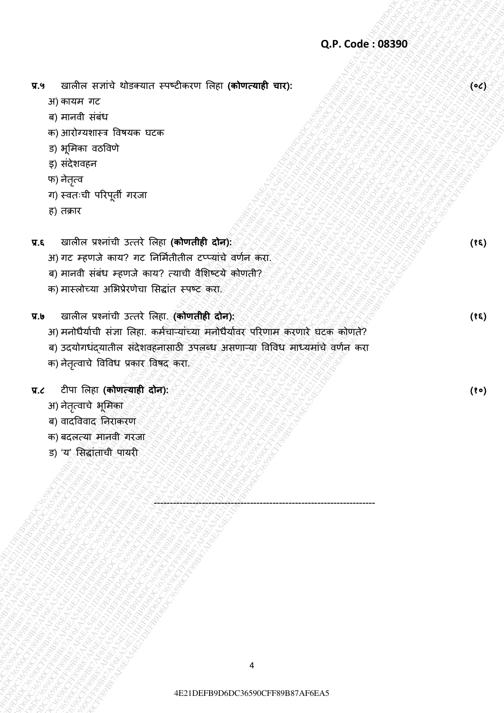**प्र.५** खालील सज्ांचȯ थȪडक्र्ात स्पष्टीकरर् ललहा **(कोणत्याही चार): (०८)**

- अ) कार्म गट
- ब) मानर्ी संबंध
- क) आरोग्यशास्त्र विषयक घटक
- ड) भूमिका वठविणे
- इ) संदेशवहन
- फ) नेतृत्व
- ग) स्र्तःची पररपती गरजा ू
- ह) तक्रार

**प्र.६** खालील प्रश्नांची उत्तरȯ ललहा **(कोणतीही दोन): (१६)**

- अ) गट म्हणजे काय? गट निर्मितीतील टप्प्यांचे वर्णन करा.
- ब) मानवी संबंध म्हणजे काय? त्याची वैशिष्ट्ये कोणती?
- क) मास्लोच्या अभिप्रेरणेचा सिद्धांत स्पष्ट करा.
- **प्र.७** खालील प्रश्नांची उत्तरȯ ललहा. **(कोणतीही दोन): (१६)**
- Q.P. Code: 08390<br>
2) Statistics and Content of the statistics of the statistics of the statistics and content<br>equal diverse and content of the statistics and content of the statistics of the statistics of the statistics o 42.4 exides areint bisearce excelescor folio (othersets) 42.6.068390<br>
42.9 experiments:<br>
45.9 experiments:<br>
45.9 experiments:<br>
45.9 experiments:<br>
45.9 experiments:<br>
45.9 experiments:<br>
45.9 experiments:<br>
45.9 experiments:<br> Q.P. code: 08850<br>
29. encience as a subsect from the state and the state of the state of the state of the state of the state of<br>
21 or a subsect from the state and the state of the state of the state of the state of the s Q.P. confirm a ratio durates certains the columnistic of the columnistic of the columnistic of the second and second a second and second a second and second a second and second a second and second a second and second a se Q.P.Code: 08390<br>
37.9 erach erach erach erach erach erach erach erach erach erach erach erach erach erach erach erach erach erach erach erach erach erach erach erach erach erach erach erach erach erach erach erach erach e Q.P communiter reside changes residence for the (above each tracy)<br>  $\mu_3$  are set a construct for the computer of the computer of the computer of the computer of the computer of the computer of the computer of the comput Q.P. code is each of each of the state of the state of the state of the state of the state of the state of the state of the state of the state of the state of the state of the state of the state of the state of the state Q.P. code is each of each of the state of the state of the state of the state of the state of the state of the state of the state of the state of the state of the state of the state of the state of the state of the state Q.P. code is each of each of the state of the state of the state of the state of the state of the state of the state of the state of the state of the state of the state of the state of the state of the state of the state Q.P. code is each of each of the state of the state of the state of the state of the state of the state of the state of the state of the state of the state of the state of the state of the state of the state of the state Q.P. code is each of each of the state of the state of the state of the state of the state of the state of the state of the state of the state of the state of the state of the state of the state of the state of the state Q.P. code is each of each of the state of the state of the state of the state of the state of the state of the state of the state of the state of the state of the state of the state of the state of the state of the state Q.P. Code: 08380<br>  $\sigma_2$ <br>  $\sigma_3$  explicit require the state of the context context context<br>  $\sigma_3$  explication in the state of the context context<br>  $\sigma_3$  explication in the state of the context context context context co 424 Soften track the sense of the contenent first environment area.<br>
29. December 1999<br>
29. December 1999<br>
29. December 1999<br>
29. December 1999<br>
29. December 1999<br>
29. December 1999<br>
29. December 1999<br>
29. December 1999<br>  $Q,P$  contain entry determine everybes on the contempt and contempt and contempt and contempt and contempt and contempt and contempt and contempt and contempt and contempt and contempt and contempt and contempt and contemp Q.P. Code - 083390<br>  $\frac{4}{3}$ <br>  $\frac{3}{2}$  code - 083390<br>  $\frac{3}{2}$  code - 083496<br>  $\frac{3}{2}$  comparison received Breads<br>  $\frac{3}{2}$  code  $\frac{3}{2}$ <br>  $\frac{3}{2}$  code  $\frac{3}{2}$ <br>  $\frac{3}{2}$  code  $\frac{3}{2}$ <br>  $\frac{3}{2}$  code  $\frac{3}{2}$ 42.4 and the start of the start of the start of the start of the start of the start of the start of the start of the start of the start of the start of the start of the start of the start of the start of the start of the s 429 CFF88 THRS Viewers cvecteron freq (editorcon) CFF8 CFF89 AF6EA54E21DEFB9D6DC36590CFF89B87A76EA54E21DEFB9D6DC36590CFF89B87AF6EA54E21DEFB9D6DC36590CFF89B87AF6EA54E21DEFB9D6DC36590CFF89B87AF6EA54E21DEFB9D6DC36590CFF89B87A Q.P. Code: 083590<br>
2P. Code: 083590<br>
2) starting are<br>
expected as the starting frequency transformation and the starting area of the starting and a<br>
starting area of the starting and a starting and a starting and a starti EXP commin starts whereas every conducts where determine with conducts with the conduct of the starts and the starts are starts and the starts are starts are conducted as a start of the starts are conducted as a start of t अ) मनोधैर्याची संज्ञा लिहा. कर्मचाऱ्यांच्या मनोधैर्यावर परिणाम करणारे घटक कोणते?
	- ब) उदयोगधंद्यातील संदेशवहनासाठी उपलब्ध असणाऱ्या विविध माध्यमांचे वर्णन करा
	- क) नेतृत्वाचे विविध प्रकार विषद करा.

#### **प्र.८** टीपा ललहा **(कोणत्याही दोन): (१०)**

- अ) नेतृत्वाचे भूमिका
- ब) वादविवाद निराकरण
- क) बदलत्र्ा मानर्ी गरजा
- ड) 'र्' लसद्धांताची पार्री

---------------------------------------------------------------------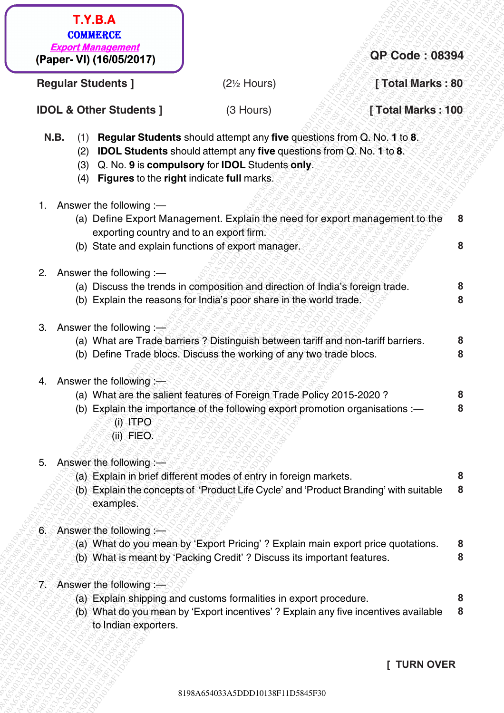- (2) **IDOL Students** should attempt any **five** questions from Q. No. **1** to **8**.
- (3) Q. No. **9** is **compulsory** for **IDOL** Students **only**.
- (4) **Figures** to the **right** indicate **full** marks.
- 1. Answer the following :—

| <b>Export Management</b><br>(Paper- VI) (16/05/2017)<br><b>Regular Students ]</b><br>$(2\%$ Hours)<br><b>IDOL &amp; Other Students ]</b><br>(3 Hours)<br>Regular Students should attempt any five questions from Q. No. 1 to 8.<br>N.B.<br>(1)<br><b>IDOL Students</b> should attempt any five questions from Q. No. 1 to 8.<br>(2)<br>Q. No. 9 is compulsory for IDOL Students only.<br>(3)<br>Figures to the right indicate full marks.<br>(4)<br>Answer the following :-<br>1.<br>(a) Define Export Management. Explain the need for export management to the<br>exporting country and to an export firm.<br>(b) State and explain functions of export manager.<br>Answer the following :-<br>2.<br>(a) Discuss the trends in composition and direction of India's foreign trade.<br>(b) Explain the reasons for India's poor share in the world trade.<br>3.<br>Answer the following : $\Rightarrow$<br>(a) What are Trade barriers ? Distinguish between tariff and non-tariff barriers.<br>(b) Define Trade blocs. Discuss the working of any two trade blocs.<br>Answer the following: $\leftarrow$<br>4.<br>(a) What are the salient features of Foreign Trade Policy 2015-2020?<br>8<br>(b) Explain the importance of the following export promotion organisations :-<br>$(i)$ ITPO<br>(ii) FIEO.<br>Answer the following :-<br>5.<br>(a) Explain in brief different modes of entry in foreign markets.<br>(b) Explain the concepts of 'Product Life Cycle' and 'Product Branding' with suitable<br>examples.<br>Answer the following $:=$<br>6.<br>(a) What do you mean by 'Export Pricing' ? Explain main export price quotations.<br>(b) What is meant by 'Packing Credit' ? Discuss its important features.<br>7. Answer the following:<br>(a) Explain shipping and customs formalities in export procedure.<br>(b) What do you mean by 'Export incentives' ? Explain any five incentives available<br>to Indian exporters.<br><b>TURN OVER</b> | <b>T.Y.B.A</b><br><b>COMMERCE</b> |                       |
|--------------------------------------------------------------------------------------------------------------------------------------------------------------------------------------------------------------------------------------------------------------------------------------------------------------------------------------------------------------------------------------------------------------------------------------------------------------------------------------------------------------------------------------------------------------------------------------------------------------------------------------------------------------------------------------------------------------------------------------------------------------------------------------------------------------------------------------------------------------------------------------------------------------------------------------------------------------------------------------------------------------------------------------------------------------------------------------------------------------------------------------------------------------------------------------------------------------------------------------------------------------------------------------------------------------------------------------------------------------------------------------------------------------------------------------------------------------------------------------------------------------------------------------------------------------------------------------------------------------------------------------------------------------------------------------------------------------------------------------------------------------------------------------------------------------------------------------------------------------------------------------------------------------------------------------------------------------|-----------------------------------|-----------------------|
|                                                                                                                                                                                                                                                                                                                                                                                                                                                                                                                                                                                                                                                                                                                                                                                                                                                                                                                                                                                                                                                                                                                                                                                                                                                                                                                                                                                                                                                                                                                                                                                                                                                                                                                                                                                                                                                                                                                                                              |                                   | <b>QP Code: 08394</b> |
|                                                                                                                                                                                                                                                                                                                                                                                                                                                                                                                                                                                                                                                                                                                                                                                                                                                                                                                                                                                                                                                                                                                                                                                                                                                                                                                                                                                                                                                                                                                                                                                                                                                                                                                                                                                                                                                                                                                                                              |                                   | [Total Marks: 80      |
|                                                                                                                                                                                                                                                                                                                                                                                                                                                                                                                                                                                                                                                                                                                                                                                                                                                                                                                                                                                                                                                                                                                                                                                                                                                                                                                                                                                                                                                                                                                                                                                                                                                                                                                                                                                                                                                                                                                                                              |                                   | [Total Marks: 100     |
|                                                                                                                                                                                                                                                                                                                                                                                                                                                                                                                                                                                                                                                                                                                                                                                                                                                                                                                                                                                                                                                                                                                                                                                                                                                                                                                                                                                                                                                                                                                                                                                                                                                                                                                                                                                                                                                                                                                                                              |                                   |                       |
|                                                                                                                                                                                                                                                                                                                                                                                                                                                                                                                                                                                                                                                                                                                                                                                                                                                                                                                                                                                                                                                                                                                                                                                                                                                                                                                                                                                                                                                                                                                                                                                                                                                                                                                                                                                                                                                                                                                                                              |                                   | 8                     |
|                                                                                                                                                                                                                                                                                                                                                                                                                                                                                                                                                                                                                                                                                                                                                                                                                                                                                                                                                                                                                                                                                                                                                                                                                                                                                                                                                                                                                                                                                                                                                                                                                                                                                                                                                                                                                                                                                                                                                              |                                   | 8                     |
|                                                                                                                                                                                                                                                                                                                                                                                                                                                                                                                                                                                                                                                                                                                                                                                                                                                                                                                                                                                                                                                                                                                                                                                                                                                                                                                                                                                                                                                                                                                                                                                                                                                                                                                                                                                                                                                                                                                                                              |                                   |                       |
|                                                                                                                                                                                                                                                                                                                                                                                                                                                                                                                                                                                                                                                                                                                                                                                                                                                                                                                                                                                                                                                                                                                                                                                                                                                                                                                                                                                                                                                                                                                                                                                                                                                                                                                                                                                                                                                                                                                                                              |                                   | 8                     |
|                                                                                                                                                                                                                                                                                                                                                                                                                                                                                                                                                                                                                                                                                                                                                                                                                                                                                                                                                                                                                                                                                                                                                                                                                                                                                                                                                                                                                                                                                                                                                                                                                                                                                                                                                                                                                                                                                                                                                              |                                   | 8                     |
|                                                                                                                                                                                                                                                                                                                                                                                                                                                                                                                                                                                                                                                                                                                                                                                                                                                                                                                                                                                                                                                                                                                                                                                                                                                                                                                                                                                                                                                                                                                                                                                                                                                                                                                                                                                                                                                                                                                                                              |                                   |                       |
|                                                                                                                                                                                                                                                                                                                                                                                                                                                                                                                                                                                                                                                                                                                                                                                                                                                                                                                                                                                                                                                                                                                                                                                                                                                                                                                                                                                                                                                                                                                                                                                                                                                                                                                                                                                                                                                                                                                                                              |                                   | 8<br>8                |
|                                                                                                                                                                                                                                                                                                                                                                                                                                                                                                                                                                                                                                                                                                                                                                                                                                                                                                                                                                                                                                                                                                                                                                                                                                                                                                                                                                                                                                                                                                                                                                                                                                                                                                                                                                                                                                                                                                                                                              |                                   |                       |
|                                                                                                                                                                                                                                                                                                                                                                                                                                                                                                                                                                                                                                                                                                                                                                                                                                                                                                                                                                                                                                                                                                                                                                                                                                                                                                                                                                                                                                                                                                                                                                                                                                                                                                                                                                                                                                                                                                                                                              |                                   | 8                     |
|                                                                                                                                                                                                                                                                                                                                                                                                                                                                                                                                                                                                                                                                                                                                                                                                                                                                                                                                                                                                                                                                                                                                                                                                                                                                                                                                                                                                                                                                                                                                                                                                                                                                                                                                                                                                                                                                                                                                                              |                                   |                       |
|                                                                                                                                                                                                                                                                                                                                                                                                                                                                                                                                                                                                                                                                                                                                                                                                                                                                                                                                                                                                                                                                                                                                                                                                                                                                                                                                                                                                                                                                                                                                                                                                                                                                                                                                                                                                                                                                                                                                                              |                                   |                       |
|                                                                                                                                                                                                                                                                                                                                                                                                                                                                                                                                                                                                                                                                                                                                                                                                                                                                                                                                                                                                                                                                                                                                                                                                                                                                                                                                                                                                                                                                                                                                                                                                                                                                                                                                                                                                                                                                                                                                                              |                                   |                       |
|                                                                                                                                                                                                                                                                                                                                                                                                                                                                                                                                                                                                                                                                                                                                                                                                                                                                                                                                                                                                                                                                                                                                                                                                                                                                                                                                                                                                                                                                                                                                                                                                                                                                                                                                                                                                                                                                                                                                                              |                                   | 8                     |
|                                                                                                                                                                                                                                                                                                                                                                                                                                                                                                                                                                                                                                                                                                                                                                                                                                                                                                                                                                                                                                                                                                                                                                                                                                                                                                                                                                                                                                                                                                                                                                                                                                                                                                                                                                                                                                                                                                                                                              |                                   | 8                     |
|                                                                                                                                                                                                                                                                                                                                                                                                                                                                                                                                                                                                                                                                                                                                                                                                                                                                                                                                                                                                                                                                                                                                                                                                                                                                                                                                                                                                                                                                                                                                                                                                                                                                                                                                                                                                                                                                                                                                                              |                                   |                       |
|                                                                                                                                                                                                                                                                                                                                                                                                                                                                                                                                                                                                                                                                                                                                                                                                                                                                                                                                                                                                                                                                                                                                                                                                                                                                                                                                                                                                                                                                                                                                                                                                                                                                                                                                                                                                                                                                                                                                                              |                                   | 8<br>8                |
|                                                                                                                                                                                                                                                                                                                                                                                                                                                                                                                                                                                                                                                                                                                                                                                                                                                                                                                                                                                                                                                                                                                                                                                                                                                                                                                                                                                                                                                                                                                                                                                                                                                                                                                                                                                                                                                                                                                                                              |                                   |                       |
|                                                                                                                                                                                                                                                                                                                                                                                                                                                                                                                                                                                                                                                                                                                                                                                                                                                                                                                                                                                                                                                                                                                                                                                                                                                                                                                                                                                                                                                                                                                                                                                                                                                                                                                                                                                                                                                                                                                                                              |                                   | 8<br>8                |
|                                                                                                                                                                                                                                                                                                                                                                                                                                                                                                                                                                                                                                                                                                                                                                                                                                                                                                                                                                                                                                                                                                                                                                                                                                                                                                                                                                                                                                                                                                                                                                                                                                                                                                                                                                                                                                                                                                                                                              |                                   |                       |
|                                                                                                                                                                                                                                                                                                                                                                                                                                                                                                                                                                                                                                                                                                                                                                                                                                                                                                                                                                                                                                                                                                                                                                                                                                                                                                                                                                                                                                                                                                                                                                                                                                                                                                                                                                                                                                                                                                                                                              |                                   |                       |

- (b) State and explain functions of export manager.
- 2. Answer the following :—
	- (a) Discuss the trends in composition and direction of India's foreign trade.
	- (b) Explain the reasons for India's poor share in the world trade.
- 3. Answer the following  $\frac{1}{2}$ 
	- (a) What are Trade barriers ? Distinguish between tariff and non-tariff barriers.
	- (b) Define Trade blocs. Discuss the working of any two trade blocs.
- 4. Answer the following :
	- (a) What are the salient features of Foreign Trade Policy 2015-2020 ? **8**
	- (b) Explain the importance of the following export promotion organisations :— (i) ITPO **8**
		- (ii) FlEO.
- 5. Answer the following :-
	- (a) Explain in brief different modes of entry in foreign markets.
	- (b) Explain the concepts of 'Product Life Cycle' and 'Product Branding' with suitable examples. **8**
- 6. Answer the following :—
	- (a) What do you mean by 'Export Pricing' ? Explain main export price quotations. **8**
	- (b) What is meant by 'Packing Credit' ? Discuss its important features.
- 7. Answer the following :—
	- (a) Explain shipping and customs formalities in export procedure.
	- (b) What do you mean by 'Export incentives' ? Explain any five incentives available to Indian exporters. **8**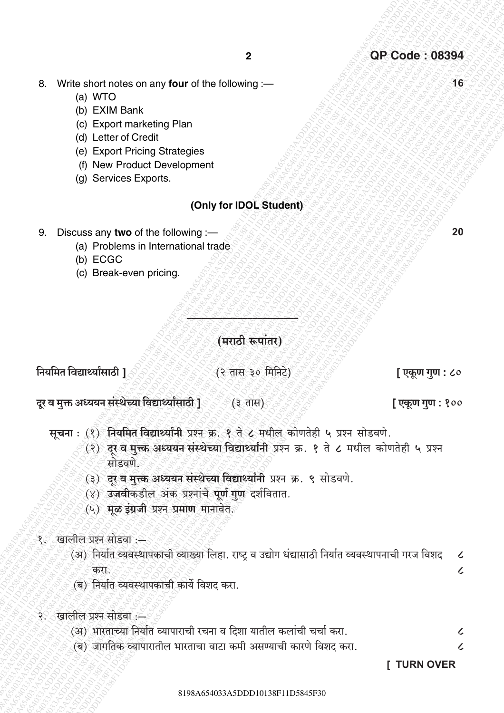16

20

- 8. Write short notes on any four of the following :-
	- (a) WTO
	- (b) EXIM Bank
	- (c) Export marketing Plan
	- (d) Letter of Credit
	- (e) Export Pricing Strategies
	- (f) New Product Development
	- (g) Services Exports.

#### (Only for IDOL Student)

- 9. Discuss any two of the following :-
	- (a) Problems in International trade
	- (b) ECGC
	- (c) Break-even pricing.

(मराठी रूपांतर)

नियमित विद्यार्थ्यांसाठी 1

(२ तास ३० मिनिटे)

[ एकूण गुण : ८०

[ एकूण गुण : १००

- दर व मक्त अध्ययन संस्थेच्या विद्यार्थ्यांसाठी ]ं (३ तास)
	- सूचना: (१) नियमित विद्यार्थ्यांनी प्रश्न क्र. १ ते ८ मधील कोणतेही ५ प्रश्न सोडवणे.
		- (२) दर व मुत्त्क अध्ययन संस्थेच्या विद्यार्थ्यांनी प्रश्न क्र. १ ते ८ मधील कोणतेही ५ प्रश्न मोडवणे
		- (३) दर व मुत्त्क अध्ययन संस्थेच्या विद्यार्थ्यांनी प्रश्न क्र. ९ सोडवणे.
		- (४) उजवीकडील अंक प्रश्नांचे पूर्ण गुण दर्शवितात.
		- (५) मूळ इंग्रजी प्रश्न प्रमाण मानावेत.
- १ँ खालील प्रश्न सोडवा :-
	- (अ) निर्यात व्यवस्थापकाची व्याख्या लिहा. राष्ट्र व उद्योग धंद्यासाठी निर्यात व्यवस्थापनाची गरज विशद  $\mathcal{L}$ करा  $\overline{\mathcal{L}}$
	- (ब) निर्यात व्यवस्थापकाची कार्ये विशद करा.
- २. खालील प्रश्न सोडवा :-
	- (अ) भारताच्या निर्यात व्यापाराची रचना व दिशा यातील कलांची चर्चा करा.  $\boldsymbol{\zeta}$
	- (ब) जागतिक व्यापारातील भारताचा वाटा कमी असण्याची कारणे विशट करा.

**I TURN OVER** 

 $\overline{\mathcal{L}}$